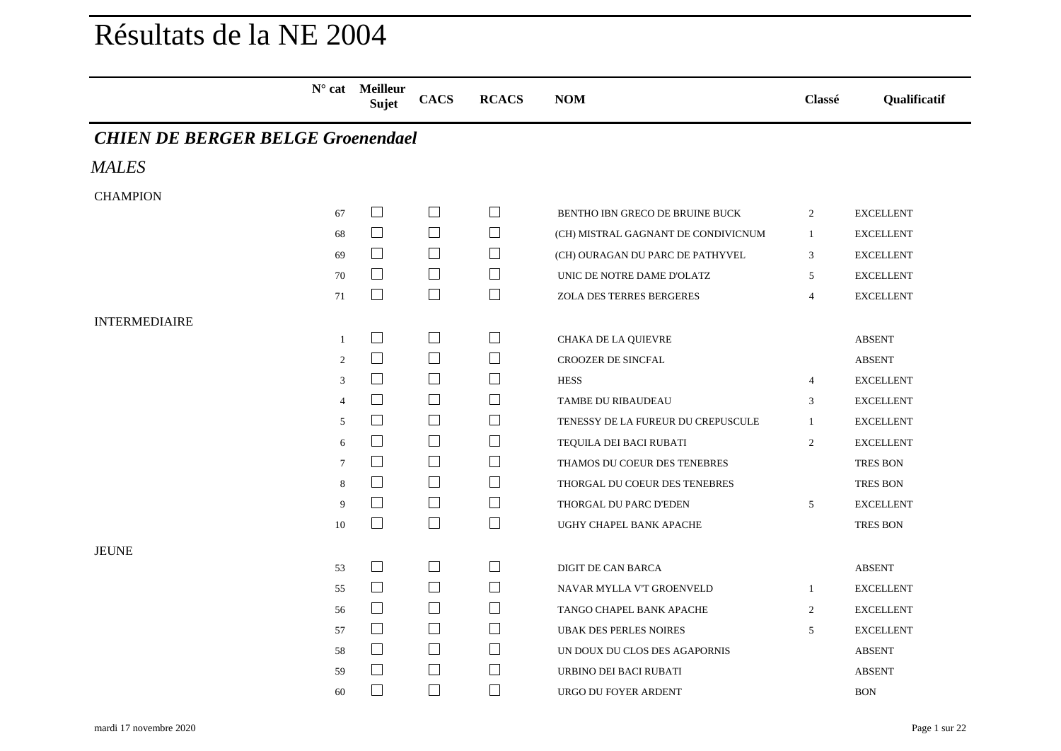## Résultats de la NE 2004

|                                          | $N^{\circ}$ cat Meilleur<br>Sujet | <b>CACS</b>    | <b>RCACS</b> | <b>NOM</b>                          | Classé         | Qualificatif     |
|------------------------------------------|-----------------------------------|----------------|--------------|-------------------------------------|----------------|------------------|
| <b>CHIEN DE BERGER BELGE Groenendael</b> |                                   |                |              |                                     |                |                  |
| <b>MALES</b>                             |                                   |                |              |                                     |                |                  |
| <b>CHAMPION</b>                          |                                   |                |              |                                     |                |                  |
| 67                                       | $\Box$                            | $\mathbb{R}^n$ | $\Box$       | BENTHO IBN GRECO DE BRUINE BUCK     | $\overline{2}$ | <b>EXCELLENT</b> |
| 68                                       | $\Box$                            | $\Box$         | $\Box$       | (CH) MISTRAL GAGNANT DE CONDIVICNUM | $\mathbf{1}$   | <b>EXCELLENT</b> |
| 69                                       | $\perp$                           | $\perp$        | $\perp$      | (CH) OURAGAN DU PARC DE PATHYVEL    | 3              | <b>EXCELLENT</b> |
| 70                                       | $\perp$                           | $\Box$         | $\perp$      | UNIC DE NOTRE DAME D'OLATZ          | 5              | <b>EXCELLENT</b> |
| 71                                       | $\Box$                            | $\Box$         | $\Box$       | ZOLA DES TERRES BERGERES            | $\overline{4}$ | <b>EXCELLENT</b> |
| <b>INTERMEDIAIRE</b>                     |                                   |                |              |                                     |                |                  |
| $\mathbf{1}$                             | $\mathbf{1}$                      | $\Box$         | $\perp$      | CHAKA DE LA QUIEVRE                 |                | <b>ABSENT</b>    |
| 2                                        | $\Box$                            | $\Box$         | $\Box$       | CROOZER DE SINCFAL                  |                | <b>ABSENT</b>    |
| 3                                        | $\mathcal{L}_{\mathcal{A}}$       | $\Box$         | $\Box$       | <b>HESS</b>                         | $\overline{4}$ | <b>EXCELLENT</b> |
| $\overline{4}$                           | $\overline{\phantom{a}}$          | $\Box$         | $\Box$       | TAMBE DU RIBAUDEAU                  | 3              | <b>EXCELLENT</b> |
| 5                                        | $\Box$                            | $\Box$         | $\Box$       | TENESSY DE LA FUREUR DU CREPUSCULE  | 1              | <b>EXCELLENT</b> |
| 6                                        | $\Box$                            | $\Box$         | ப            | TEQUILA DEI BACI RUBATI             | 2              | <b>EXCELLENT</b> |
| $\overline{7}$                           | $\perp$                           | $\Box$         | $\mathsf{L}$ | THAMOS DU COEUR DES TENEBRES        |                | <b>TRES BON</b>  |
| 8                                        | $\mathbf{L}$                      | $\Box$         | $\Box$       | THORGAL DU COEUR DES TENEBRES       |                | <b>TRES BON</b>  |
| 9                                        | $\Box$                            | $\Box$         | $\Box$       | THORGAL DU PARC D'EDEN              | 5              | <b>EXCELLENT</b> |
| 10                                       | $\Box$                            | $\Box$         | $\Box$       | UGHY CHAPEL BANK APACHE             |                | <b>TRES BON</b>  |
| <b>JEUNE</b>                             |                                   |                |              |                                     |                |                  |
| 53                                       | $\Box$                            | $\Box$         | $\Box$       | DIGIT DE CAN BARCA                  |                | <b>ABSENT</b>    |
| 55                                       | $\Box$                            | $\perp$        | $\Box$       | NAVAR MYLLA V'T GROENVELD           | $\mathbf{1}$   | <b>EXCELLENT</b> |
| 56                                       | $\Box$                            | $\Box$         | $\Box$       | TANGO CHAPEL BANK APACHE            | $\overline{2}$ | <b>EXCELLENT</b> |
| 57                                       | $\Box$                            | $\Box$         | ப            | <b>UBAK DES PERLES NOIRES</b>       | 5              | <b>EXCELLENT</b> |
| 58                                       | $\Box$                            | $\Box$         | $\perp$      | UN DOUX DU CLOS DES AGAPORNIS       |                | <b>ABSENT</b>    |
| 59                                       | $\Box$                            | $\Box$         | $\Box$       | URBINO DEI BACI RUBATI              |                | <b>ABSENT</b>    |
| 60                                       | $\Box$                            | $\Box$         | $\Box$       | URGO DU FOYER ARDENT                |                | <b>BON</b>       |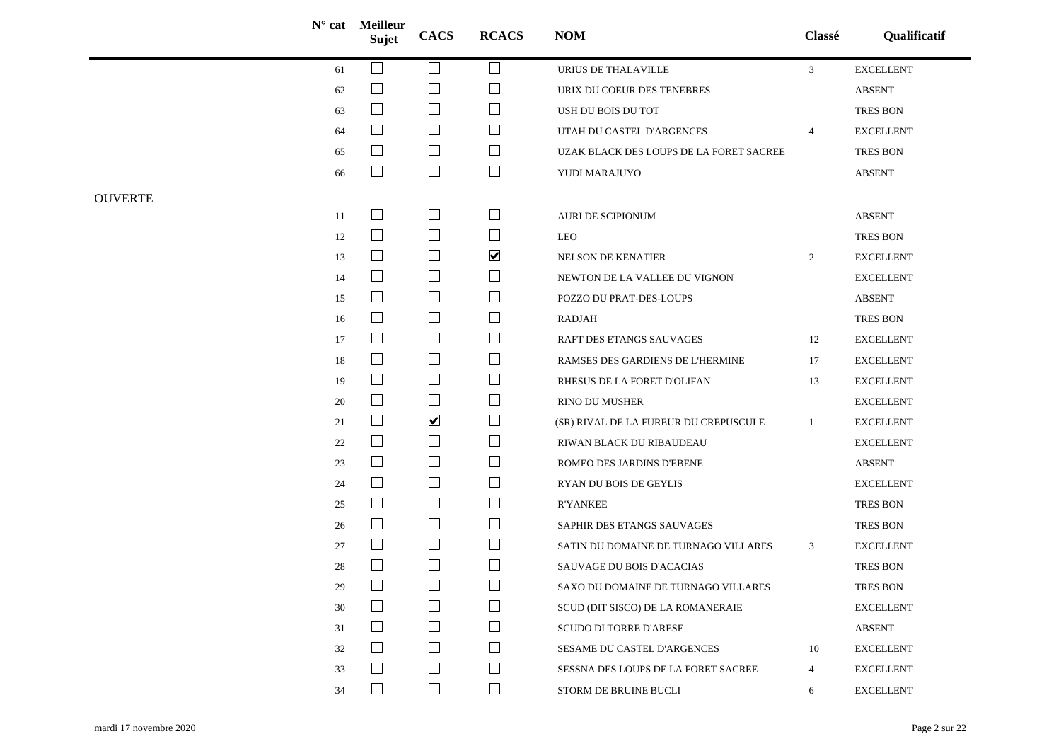|                |        | $N^{\circ}$ cat Meilleur<br>Sujet | <b>CACS</b>              | <b>RCACS</b>         | <b>NOM</b>                              | Classé         | Qualificatif     |
|----------------|--------|-----------------------------------|--------------------------|----------------------|-----------------------------------------|----------------|------------------|
|                | 61     | $\mathcal{L}$                     | $\Box$                   | $\Box$               | URIUS DE THALAVILLE                     | $\mathbf{3}$   | <b>EXCELLENT</b> |
|                | 62     | $\mathbf{L}$                      | $\Box$                   | ⊔                    | URIX DU COEUR DES TENEBRES              |                | <b>ABSENT</b>    |
|                | 63     | $\Box$                            | $\Box$                   | ⊔                    | USH DU BOIS DU TOT                      |                | <b>TRES BON</b>  |
|                | 64     | $\Box$                            | $\Box$                   | $\Box$               | UTAH DU CASTEL D'ARGENCES               | $\overline{4}$ | <b>EXCELLENT</b> |
|                | 65     | $\mathsf{L}$                      | $\Box$                   | $\Box$               | UZAK BLACK DES LOUPS DE LA FORET SACREE |                | <b>TRES BON</b>  |
|                | 66     | $\Box$                            | $\Box$                   | $\Box$               | YUDI MARAJUYO                           |                | <b>ABSENT</b>    |
| <b>OUVERTE</b> |        |                                   |                          |                      |                                         |                |                  |
|                | 11     | $\Box$                            | $\overline{\phantom{a}}$ | $\Box$               | AURI DE SCIPIONUM                       |                | <b>ABSENT</b>    |
|                | 12     | $\Box$                            | $\Box$                   | $\Box$               | LEO                                     |                | TRES BON         |
|                | 13     | $\Box$                            | $\Box$                   | $\blacktriangledown$ | NELSON DE KENATIER                      | 2              | <b>EXCELLENT</b> |
|                | 14     | $\Box$                            | $\Box$                   | ⊔                    | NEWTON DE LA VALLEE DU VIGNON           |                | <b>EXCELLENT</b> |
|                | 15     | $\Box$                            | $\Box$                   | $\Box$               | POZZO DU PRAT-DES-LOUPS                 |                | <b>ABSENT</b>    |
|                | 16     | $\Box$                            | $\Box$                   | $\Box$               | RADJAH                                  |                | <b>TRES BON</b>  |
|                | 17     | $\Box$                            | $\Box$                   | $\Box$               | RAFT DES ETANGS SAUVAGES                | 12             | <b>EXCELLENT</b> |
|                | 18     | $\Box$                            | $\Box$                   | ⊔                    | RAMSES DES GARDIENS DE L'HERMINE        | 17             | <b>EXCELLENT</b> |
|                | 19     | $\Box$                            | $\Box$                   | $\Box$               | RHESUS DE LA FORET D'OLIFAN             | 13             | <b>EXCELLENT</b> |
|                | 20     | $\Box$                            | $\Box$                   | $\Box$               | RINO DU MUSHER                          |                | <b>EXCELLENT</b> |
|                | 21     | $\Box$                            | $\blacktriangledown$     | $\Box$               | (SR) RIVAL DE LA FUREUR DU CREPUSCULE   | 1              | <b>EXCELLENT</b> |
|                | 22     | $\Box$                            | $\Box$                   | $\Box$               | RIWAN BLACK DU RIBAUDEAU                |                | <b>EXCELLENT</b> |
|                | 23     | $\Box$                            | $\Box$                   | $\Box$               | ROMEO DES JARDINS D'EBENE               |                | <b>ABSENT</b>    |
|                | 24     | $\Box$                            | $\Box$                   | $\Box$               | RYAN DU BOIS DE GEYLIS                  |                | <b>EXCELLENT</b> |
|                | 25     | $\mathsf{L}$                      | $\Box$                   | $\Box$               | <b>R'YANKEE</b>                         |                | <b>TRES BON</b>  |
|                | 26     | $\Box$                            | $\Box$                   | $\Box$               | SAPHIR DES ETANGS SAUVAGES              |                | TRES BON         |
|                | 27     | $\mathcal{L}$                     | $\Box$                   | ⊔                    | SATIN DU DOMAINE DE TURNAGO VILLARES    | $\mathbf{3}$   | <b>EXCELLENT</b> |
|                | 28     |                                   | $\Box$                   | $\Box$               | SAUVAGE DU BOIS D'ACACIAS               |                | <b>TRES BON</b>  |
|                | $29\,$ | $\Box$                            | $\Box$                   | $\Box$               | SAXO DU DOMAINE DE TURNAGO VILLARES     |                | TRES BON         |
|                | 30     | $\mathcal{L}$                     | $\Box$                   | $\Box$               | SCUD (DIT SISCO) DE LA ROMANERAIE       |                | <b>EXCELLENT</b> |
|                | 31     | $\Box$                            | $\Box$                   | $\Box$               | <b>SCUDO DI TORRE D'ARESE</b>           |                | <b>ABSENT</b>    |
|                | 32     | $\Box$                            | $\Box$                   | $\Box$               | SESAME DU CASTEL D'ARGENCES             | 10             | <b>EXCELLENT</b> |
|                | 33     | $\mathsf{L}$                      | $\Box$                   | $\Box$               | SESSNA DES LOUPS DE LA FORET SACREE     | $\overline{4}$ | <b>EXCELLENT</b> |
|                | 34     | $\Box$                            | $\Box$                   | $\Box$               | STORM DE BRUINE BUCLI                   | 6              | <b>EXCELLENT</b> |
|                |        |                                   |                          |                      |                                         |                |                  |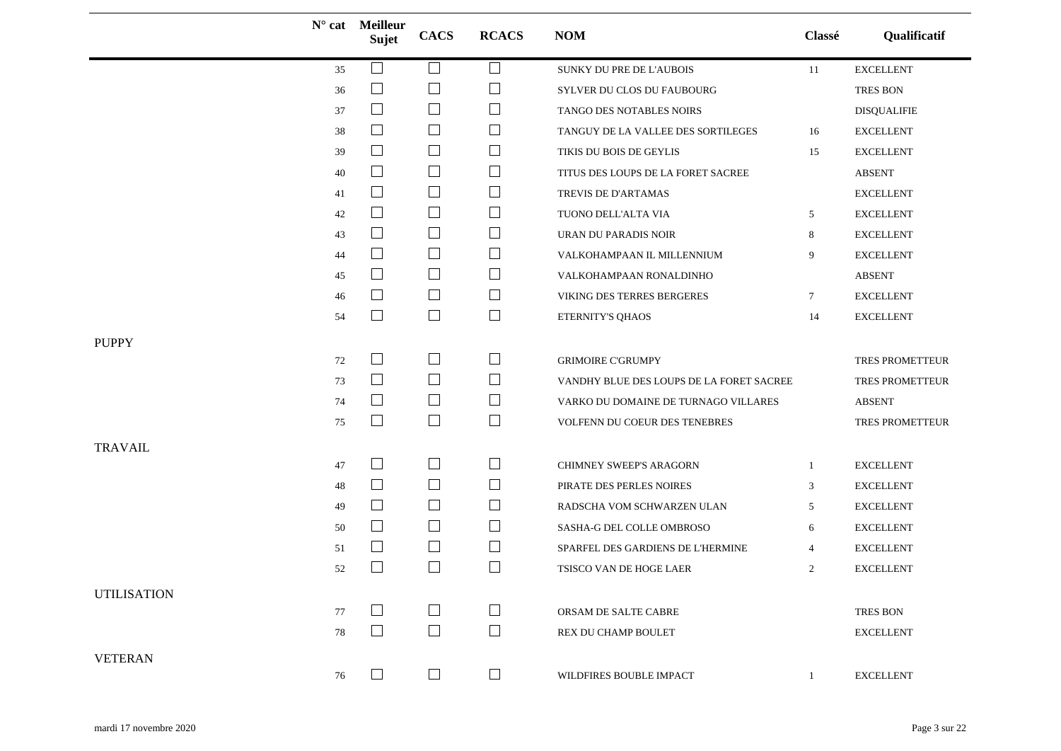|                    |        | $N^{\circ}$ cat Meilleur<br><b>Sujet</b> | <b>CACS</b>              | <b>RCACS</b> | <b>NOM</b>                               | Classé       | Qualificatif       |
|--------------------|--------|------------------------------------------|--------------------------|--------------|------------------------------------------|--------------|--------------------|
|                    | 35     | $\Box$                                   | $\overline{\phantom{a}}$ | Ш            | SUNKY DU PRE DE L'AUBOIS                 | 11           | <b>EXCELLENT</b>   |
|                    | 36     | ⊔                                        | $\Box$                   | $\Box$       | SYLVER DU CLOS DU FAUBOURG               |              | TRES BON           |
|                    | 37     | $\Box$                                   | $\Box$                   | $\Box$       | TANGO DES NOTABLES NOIRS                 |              | <b>DISQUALIFIE</b> |
|                    | 38     | $\Box$                                   | $\Box$                   | ⊔            | TANGUY DE LA VALLEE DES SORTILEGES       | 16           | <b>EXCELLENT</b>   |
|                    | 39     | $\Box$                                   | $\Box$                   | $\Box$       | TIKIS DU BOIS DE GEYLIS                  | 15           | <b>EXCELLENT</b>   |
|                    | 40     | $\Box$                                   | $\Box$                   | $\Box$       | TITUS DES LOUPS DE LA FORET SACREE       |              | <b>ABSENT</b>      |
|                    | 41     | $\Box$                                   | $\Box$                   | $\Box$       | TREVIS DE D'ARTAMAS                      |              | <b>EXCELLENT</b>   |
|                    | 42     | $\perp$                                  | $\Box$                   | ⊔            | TUONO DELL'ALTA VIA                      | 5            | <b>EXCELLENT</b>   |
|                    | 43     | $\Box$                                   | $\Box$                   | $\Box$       | URAN DU PARADIS NOIR                     | 8            | <b>EXCELLENT</b>   |
|                    | 44     | $\Box$                                   | $\Box$                   | $\Box$       | VALKOHAMPAAN IL MILLENNIUM               | 9            | <b>EXCELLENT</b>   |
|                    | 45     | $\Box$                                   | $\Box$                   | ⊔            | VALKOHAMPAAN RONALDINHO                  |              | <b>ABSENT</b>      |
|                    | 46     | $\Box$                                   | $\Box$                   | $\Box$       | VIKING DES TERRES BERGERES               | $\tau$       | <b>EXCELLENT</b>   |
|                    | 54     | $\Box$                                   | $\Box$                   | $\Box$       | ETERNITY'S QHAOS                         | 14           | <b>EXCELLENT</b>   |
| <b>PUPPY</b>       |        |                                          |                          |              |                                          |              |                    |
|                    | 72     | $\Box$                                   | $\Box$                   | $\Box$       | <b>GRIMOIRE C'GRUMPY</b>                 |              | TRES PROMETTEUR    |
|                    | 73     | $\Box$                                   | $\Box$                   | $\Box$       | VANDHY BLUE DES LOUPS DE LA FORET SACREE |              | TRES PROMETTEUR    |
|                    | 74     | $\Box$                                   | $\Box$                   | $\Box$       | VARKO DU DOMAINE DE TURNAGO VILLARES     |              | <b>ABSENT</b>      |
|                    | 75     | $\Box$                                   | $\Box$                   | $\Box$       | VOLFENN DU COEUR DES TENEBRES            |              | TRES PROMETTEUR    |
| <b>TRAVAIL</b>     |        |                                          |                          |              |                                          |              |                    |
|                    | $47\,$ | $\Box$                                   | $\Box$                   | $\Box$       | CHIMNEY SWEEP'S ARAGORN                  | -1           | <b>EXCELLENT</b>   |
|                    | 48     | $\Box$                                   | $\Box$                   | ⊔            | PIRATE DES PERLES NOIRES                 | 3            | <b>EXCELLENT</b>   |
|                    | 49     | $\Box$                                   | $\Box$                   | $\Box$       | RADSCHA VOM SCHWARZEN ULAN               | 5            | ${\sf EXCELLENT}$  |
|                    | 50     | $\Box$                                   | $\Box$                   | ⊔            | SASHA-G DEL COLLE OMBROSO                | 6            | <b>EXCELLENT</b>   |
|                    | 51     | $\Box$                                   | $\Box$                   | $\Box$       | SPARFEL DES GARDIENS DE L'HERMINE        | 4            | <b>EXCELLENT</b>   |
|                    | 52     | $\vert \ \ \vert$                        | $\Box$                   | $\Box$       | TSISCO VAN DE HOGE LAER                  | 2            | <b>EXCELLENT</b>   |
| <b>UTILISATION</b> |        |                                          |                          |              |                                          |              |                    |
|                    | 77     | $\perp$                                  | $\Box$                   | ⊔            | ORSAM DE SALTE CABRE                     |              | <b>TRES BON</b>    |
|                    | $78\,$ | $\Box$                                   | $\Box$                   | $\Box$       | REX DU CHAMP BOULET                      |              | <b>EXCELLENT</b>   |
|                    |        |                                          |                          |              |                                          |              |                    |
| <b>VETERAN</b>     | 76     | $\Box$                                   | $\Box$                   | $\Box$       | WILDFIRES BOUBLE IMPACT                  | $\mathbf{1}$ | <b>EXCELLENT</b>   |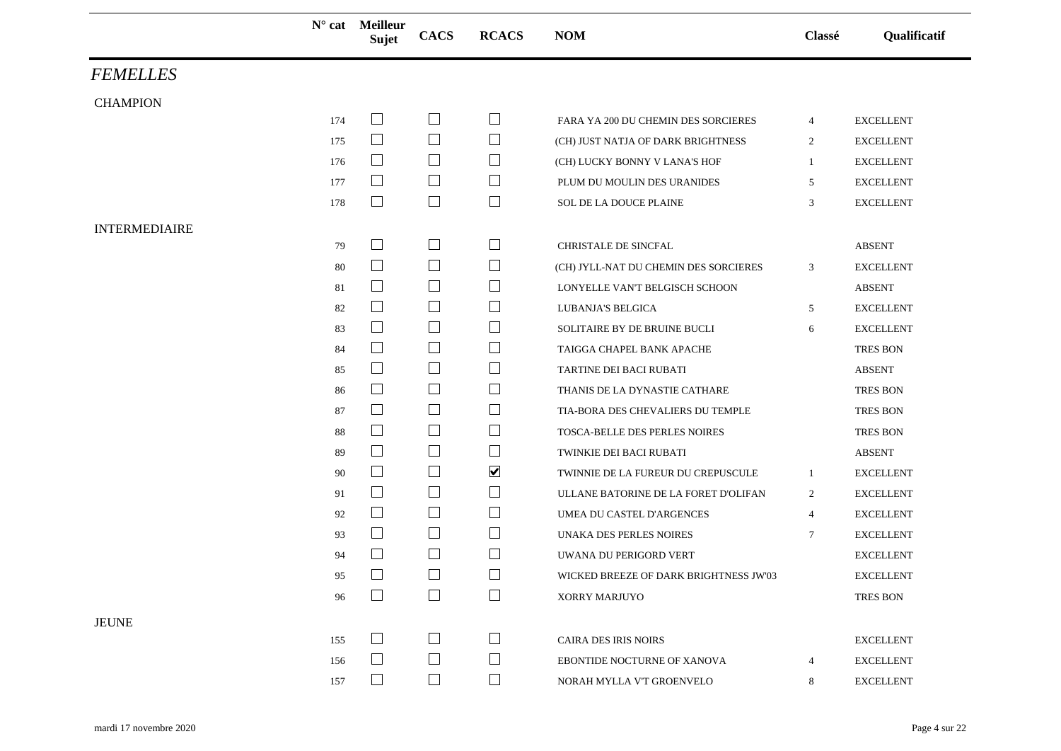|                      |     | $N^{\circ}$ cat Meilleur<br>Sujet | <b>CACS</b>              | <b>RCACS</b>         | <b>NOM</b>                             | Classé         | Qualificatif     |
|----------------------|-----|-----------------------------------|--------------------------|----------------------|----------------------------------------|----------------|------------------|
| <b>FEMELLES</b>      |     |                                   |                          |                      |                                        |                |                  |
| <b>CHAMPION</b>      |     |                                   |                          |                      |                                        |                |                  |
|                      | 174 | $\Box$                            | $\Box$                   | $\Box$               | FARA YA 200 DU CHEMIN DES SORCIERES    | $\overline{4}$ | <b>EXCELLENT</b> |
|                      | 175 | $\Box$                            | $\Box$                   | $\Box$               | (CH) JUST NATJA OF DARK BRIGHTNESS     | $\overline{2}$ | <b>EXCELLENT</b> |
|                      | 176 | $\Box$                            | $\Box$                   | $\Box$               | (CH) LUCKY BONNY V LANA'S HOF          | $\mathbf{1}$   | <b>EXCELLENT</b> |
|                      | 177 | $\Box$                            | $\overline{\phantom{a}}$ | ⊔                    | PLUM DU MOULIN DES URANIDES            | 5              | <b>EXCELLENT</b> |
|                      | 178 | $\Box$                            | $\Box$                   | $\Box$               | SOL DE LA DOUCE PLAINE                 | 3              | <b>EXCELLENT</b> |
| <b>INTERMEDIAIRE</b> |     |                                   |                          |                      |                                        |                |                  |
|                      | 79  | $\mathbf{L}$                      | $\Box$                   | $\Box$               | CHRISTALE DE SINCFAL                   |                | <b>ABSENT</b>    |
|                      | 80  | $\Box$                            | $\overline{\phantom{a}}$ | $\Box$               | (CH) JYLL-NAT DU CHEMIN DES SORCIERES  | 3              | <b>EXCELLENT</b> |
|                      | 81  | $\Box$                            | $\Box$                   | ⊔                    | LONYELLE VAN'T BELGISCH SCHOON         |                | <b>ABSENT</b>    |
|                      | 82  | $\Box$                            | $\Box$                   | $\mathsf{L}$         | LUBANJA'S BELGICA                      | 5              | <b>EXCELLENT</b> |
|                      | 83  | $\Box$                            | $\Box$                   | $\Box$               | SOLITAIRE BY DE BRUINE BUCLI           | 6              | <b>EXCELLENT</b> |
|                      | 84  | $\Box$                            | $\Box$                   | $\Box$               | TAIGGA CHAPEL BANK APACHE              |                | <b>TRES BON</b>  |
|                      | 85  | $\Box$                            | $\Box$                   | $\Box$               | TARTINE DEI BACI RUBATI                |                | <b>ABSENT</b>    |
|                      | 86  | $\Box$                            | $\Box$                   | $\Box$               | THANIS DE LA DYNASTIE CATHARE          |                | <b>TRES BON</b>  |
|                      | 87  | $\Box$                            | $\Box$                   | ⊔                    | TIA-BORA DES CHEVALIERS DU TEMPLE      |                | TRES BON         |
|                      | 88  | $\Box$                            | $\Box$                   | ⊔                    | TOSCA-BELLE DES PERLES NOIRES          |                | <b>TRES BON</b>  |
|                      | 89  | $\overline{\phantom{a}}$          | $\Box$                   | $\mathbb{L}$         | TWINKIE DEI BACI RUBATI                |                | <b>ABSENT</b>    |
|                      | 90  | $\mathbf{L}$                      | $\Box$                   | $\blacktriangledown$ | TWINNIE DE LA FUREUR DU CREPUSCULE     | 1              | <b>EXCELLENT</b> |
|                      | 91  | $\Box$                            | $\Box$                   | $\Box$               | ULLANE BATORINE DE LA FORET D'OLIFAN   | $\overline{2}$ | <b>EXCELLENT</b> |
|                      | 92  | $\Box$                            | $\Box$                   | ⊔                    | UMEA DU CASTEL D'ARGENCES              | $\overline{4}$ | <b>EXCELLENT</b> |
|                      | 93  | $\vert \ \ \vert$                 | $\Box$                   | $\mathsf{L}$         | <b>UNAKA DES PERLES NOIRES</b>         | 7              | <b>EXCELLENT</b> |
|                      | 94  |                                   | $\Box$                   |                      | UWANA DU PERIGORD VERT                 |                | <b>EXCELLENT</b> |
|                      | 95  | $\Box$                            | $\Box$                   | $\Box$               | WICKED BREEZE OF DARK BRIGHTNESS JW'03 |                | <b>EXCELLENT</b> |
|                      | 96  |                                   | $\Box$                   | $\mathbf{I}$         | XORRY MARJUYO                          |                | <b>TRES BON</b>  |
| <b>JEUNE</b>         |     |                                   |                          |                      |                                        |                |                  |
|                      | 155 | $\mathbf{L}$                      | $\Box$                   |                      | CAIRA DES IRIS NOIRS                   |                | <b>EXCELLENT</b> |
|                      | 156 |                                   | $\Box$                   |                      | EBONTIDE NOCTURNE OF XANOVA            | 4              | <b>EXCELLENT</b> |
|                      | 157 | $\Box$                            | $\Box$                   | $\Box$               | NORAH MYLLA V'T GROENVELO              | 8              | <b>EXCELLENT</b> |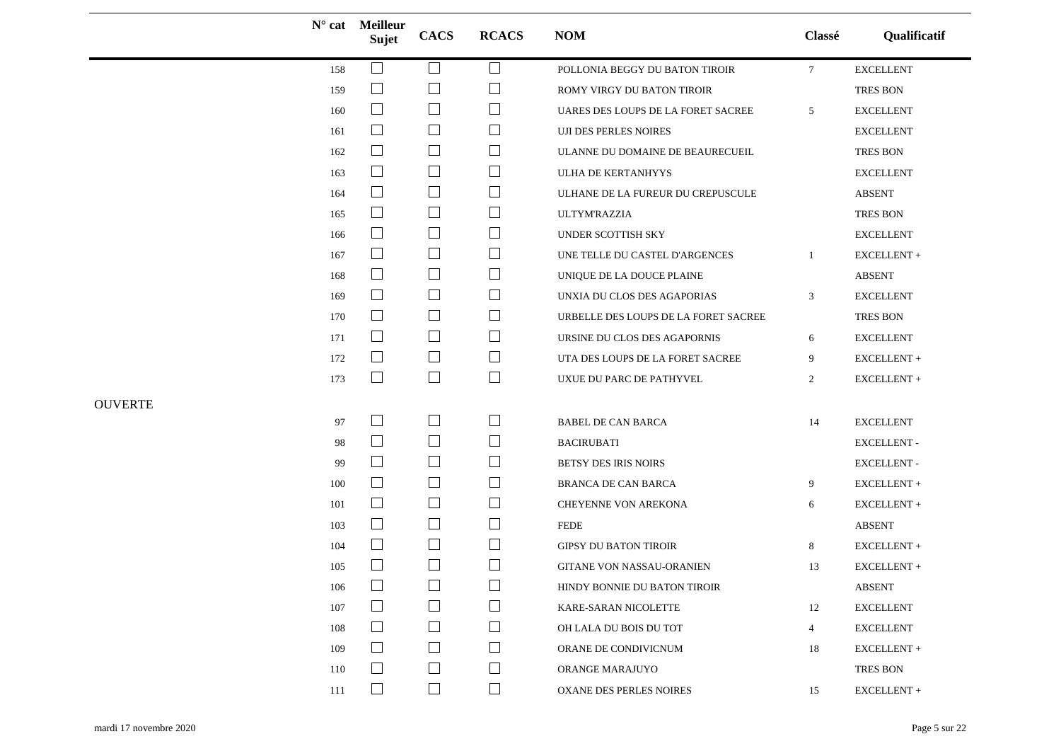|                | $N^{\circ}$ cat | <b>Meilleur</b><br>Sujet    | <b>CACS</b>                        | <b>RCACS</b>                       | <b>NOM</b>                           | Classé          | Qualificatif        |
|----------------|-----------------|-----------------------------|------------------------------------|------------------------------------|--------------------------------------|-----------------|---------------------|
|                | 158             | $\Box$                      | $\Box$                             | $\Box$                             | POLLONIA BEGGY DU BATON TIROIR       | $7\phantom{.0}$ | <b>EXCELLENT</b>    |
|                | 159             | $\Box$                      | $\Box$                             | ⊔                                  | ROMY VIRGY DU BATON TIROIR           |                 | <b>TRES BON</b>     |
|                | 160             | $\Box$                      | $\Box$                             | ⊔                                  | UARES DES LOUPS DE LA FORET SACREE   | 5               | <b>EXCELLENT</b>    |
|                | 161             | $\overline{\phantom{a}}$    | $\Box$                             | $\Box$                             | <b>UJI DES PERLES NOIRES</b>         |                 | <b>EXCELLENT</b>    |
|                | 162             | $\Box$                      | $\Box$                             | $\Box$                             | ULANNE DU DOMAINE DE BEAURECUEIL     |                 | TRES BON            |
|                | 163             | $\Box$                      | $\Box$                             | $\Box$                             | ULHA DE KERTANHYYS                   |                 | <b>EXCELLENT</b>    |
|                | 164             | $\Box$                      | $\Box$                             | $\Box$                             | ULHANE DE LA FUREUR DU CREPUSCULE    |                 | <b>ABSENT</b>       |
|                | 165             | $\Box$                      | $\Box$                             | $\Box$                             | <b>ULTYM'RAZZIA</b>                  |                 | <b>TRES BON</b>     |
|                | 166             | $\Box$                      | $\Box$                             | $\Box$                             | UNDER SCOTTISH SKY                   |                 | <b>EXCELLENT</b>    |
|                | 167             | $\mathcal{L}_{\mathcal{A}}$ | $\mathcal{L}_{\mathcal{A}}$        | $\Box$                             | UNE TELLE DU CASTEL D'ARGENCES       | -1              | ${\sf EXCELLENT}$ + |
|                | 168             | $\Box$                      | $\Box$                             | $\Box$                             | UNIQUE DE LA DOUCE PLAINE            |                 | <b>ABSENT</b>       |
|                | 169             | $\overline{\phantom{a}}$    | $\Box$                             | $\Box$                             | UNXIA DU CLOS DES AGAPORIAS          | 3               | <b>EXCELLENT</b>    |
|                | 170             | $\Box$                      | $\Box$                             | $\Box$                             | URBELLE DES LOUPS DE LA FORET SACREE |                 | <b>TRES BON</b>     |
|                | 171             | $\Box$                      | $\Box$                             | $\Box$                             | URSINE DU CLOS DES AGAPORNIS         | 6               | <b>EXCELLENT</b>    |
|                | 172             | $\Box$                      | $\Box$                             | $\Box$                             | UTA DES LOUPS DE LA FORET SACREE     | 9               | EXCELLENT +         |
|                | 173             | $\Box$                      | $\Box$                             | $\Box$                             | UXUE DU PARC DE PATHYVEL             | $\overline{2}$  | EXCELLENT +         |
| <b>OUVERTE</b> |                 |                             |                                    |                                    |                                      |                 |                     |
|                | 97              | $\Box$                      | $\overline{\phantom{a}}$           | $\Box$                             | <b>BABEL DE CAN BARCA</b>            | 14              | <b>EXCELLENT</b>    |
|                | 98              | $\Box$                      | $\Box$                             | $\Box$                             | <b>BACIRUBATI</b>                    |                 | <b>EXCELLENT -</b>  |
|                | 99              | $\Box$                      | $\overline{\phantom{a}}$           | $\Box$                             | BETSY DES IRIS NOIRS                 |                 | <b>EXCELLENT -</b>  |
|                | 100             | $\Box$                      | $\Box$                             | $\Box$                             | <b>BRANCA DE CAN BARCA</b>           | 9               | EXCELLENT +         |
|                | 101             | $\Box$                      | $\Box$                             | ⊔                                  | CHEYENNE VON AREKONA                 | 6               | EXCELLENT+          |
|                | 103             | $\overline{\phantom{a}}$    | $\Box$                             | $\Box$                             | <b>FEDE</b>                          |                 | ABSENT              |
|                | 104             | $\Box$                      | $\Box$                             | $\Box$                             | <b>GIPSY DU BATON TIROIR</b>         | 8               | ${\sf EXCELLENT}$ + |
|                | 105             | $\Box$                      | $\Box$<br>$\overline{\phantom{0}}$ | $\Box$<br>$\overline{\phantom{0}}$ | <b>GITANE VON NASSAU-ORANIEN</b>     | 13              | EXCELLENT+          |
|                | 106             | $\Box$                      | $\Box$                             |                                    | HINDY BONNIE DU BATON TIROIR         |                 | ABSENT              |
|                | 107             | $\mathcal{L}_{\mathcal{A}}$ | $\blacksquare$                     | $\Box$                             | KARE-SARAN NICOLETTE                 | 12              | <b>EXCELLENT</b>    |
|                | 108             | $\Box$                      | $\Box$                             | $\Box$                             | OH LALA DU BOIS DU TOT               | $\overline{4}$  | <b>EXCELLENT</b>    |
|                | 109             | $\Box$                      | $\Box$                             | $\Box$                             | ORANE DE CONDIVICNUM                 | 18              | EXCELLENT +         |
|                | 110             | $\Box$                      | $\Box$                             | $\Box$                             | ORANGE MARAJUYO                      |                 | TRES BON            |
|                | 111             | $\Box$                      | $\Box$                             | $\Box$                             | <b>OXANE DES PERLES NOIRES</b>       | 15              | ${\sf EXCELLENT}$ + |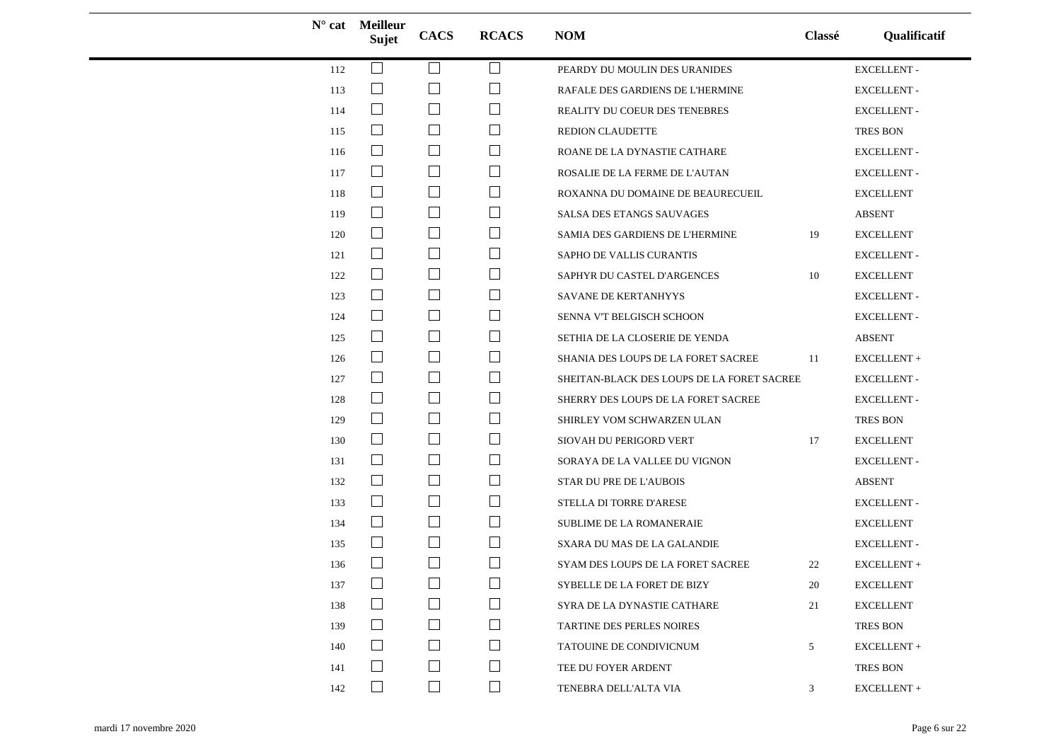|     | $N^{\circ}$ cat Meilleur<br><b>Sujet</b> | <b>CACS</b>                           | <b>RCACS</b> | <b>NOM</b>                                 | Classé | Qualificatif       |
|-----|------------------------------------------|---------------------------------------|--------------|--------------------------------------------|--------|--------------------|
| 112 | $\Box$                                   | $\mathcal{L}$                         | $\Box$       | PEARDY DU MOULIN DES URANIDES              |        | <b>EXCELLENT -</b> |
| 113 | $\Box$                                   | $\mathcal{L}$                         | $\Box$       | RAFALE DES GARDIENS DE L'HERMINE           |        | <b>EXCELLENT-</b>  |
| 114 | $\begin{array}{c} \hline \end{array}$    | $\Box$                                | $\Box$       | REALITY DU COEUR DES TENEBRES              |        | <b>EXCELLENT -</b> |
| 115 | $\Box$                                   | $\Box$                                | $\sqcup$     | <b>REDION CLAUDETTE</b>                    |        | TRES BON           |
| 116 | $\Box$                                   | $\Box$                                | $\Box$       | ROANE DE LA DYNASTIE CATHARE               |        | <b>EXCELLENT-</b>  |
| 117 | $\Box$                                   | $\Box$                                | $\Box$       | ROSALIE DE LA FERME DE L'AUTAN             |        | <b>EXCELLENT -</b> |
| 118 | $\Box$                                   | $\mathcal{L}_{\mathcal{A}}$           | $\Box$       | ROXANNA DU DOMAINE DE BEAURECUEIL          |        | <b>EXCELLENT</b>   |
| 119 | $\Box$                                   | $\Box$                                | ⊔            | SALSA DES ETANGS SAUVAGES                  |        | <b>ABSENT</b>      |
| 120 | $\Box$                                   | $\Box$                                | $\Box$       | SAMIA DES GARDIENS DE L'HERMINE            | 19     | <b>EXCELLENT</b>   |
| 121 | $\Box$                                   | $\Box$                                | $\Box$       | SAPHO DE VALLIS CURANTIS                   |        | <b>EXCELLENT-</b>  |
| 122 | $\Box$                                   | $\overline{\phantom{a}}$              | $\Box$       | SAPHYR DU CASTEL D'ARGENCES                | 10     | <b>EXCELLENT</b>   |
| 123 | $\Box$                                   | $\mathcal{L}_{\mathcal{A}}$           | $\Box$       | SAVANE DE KERTANHYYS                       |        | <b>EXCELLENT-</b>  |
| 124 | $\Box$                                   | $\Box$                                | ⊔            | SENNA V'T BELGISCH SCHOON                  |        | <b>EXCELLENT -</b> |
| 125 | $\Box$                                   | $\Box$                                | $\Box$       | SETHIA DE LA CLOSERIE DE YENDA             |        | <b>ABSENT</b>      |
| 126 | $\Box$                                   | $\Box$                                | $\Box$       | SHANIA DES LOUPS DE LA FORET SACREE        | -11    | EXCELLENT +        |
| 127 | $\Box$                                   | $\Box$                                | $\Box$       | SHEITAN-BLACK DES LOUPS DE LA FORET SACREE |        | <b>EXCELLENT -</b> |
| 128 | $\Box$                                   | $\begin{array}{c} \hline \end{array}$ | $\Box$       | SHERRY DES LOUPS DE LA FORET SACREE        |        | <b>EXCELLENT -</b> |
| 129 | $\Box$                                   | $\mathcal{L}_{\mathcal{A}}$           | $\Box$       | SHIRLEY VOM SCHWARZEN ULAN                 |        | TRES BON           |
| 130 | $\Box$                                   | $\Box$                                | ⊔            | SIOVAH DU PERIGORD VERT                    | 17     | <b>EXCELLENT</b>   |
| 131 | $\Box$                                   | $\Box$                                | $\Box$       | SORAYA DE LA VALLEE DU VIGNON              |        | <b>EXCELLENT-</b>  |
| 132 | $\Box$                                   | $\Box$                                | $\Box$       | STAR DU PRE DE L'AUBOIS                    |        | <b>ABSENT</b>      |
| 133 | $\Box$                                   | $\Box$                                | $\Box$       | STELLA DI TORRE D'ARESE                    |        | <b>EXCELLENT-</b>  |
| 134 |                                          | $\Box$                                | $\Box$       | SUBLIME DE LA ROMANERAIE                   |        | <b>EXCELLENT</b>   |
| 135 | $\Box$                                   | $\begin{array}{c} \hline \end{array}$ | $\Box$       | SXARA DU MAS DE LA GALANDIE                |        | <b>EXCELLENT-</b>  |
| 136 |                                          | $\mathcal{L}_{\mathcal{A}}$           | $\Box$       | SYAM DES LOUPS DE LA FORET SACREE          | 22     | EXCELLENT+         |
| 137 | $\Box$                                   | $\Box$                                | $\Box$       | SYBELLE DE LA FORET DE BIZY                | $20\,$ | <b>EXCELLENT</b>   |
| 138 |                                          |                                       | $\Box$       | SYRA DE LA DYNASTIE CATHARE                | 21     | <b>EXCELLENT</b>   |
| 139 | ⊔                                        | $\Box$                                | $\Box$       | TARTINE DES PERLES NOIRES                  |        | TRES BON           |
| 140 | $\Box$                                   | $\sim$                                | $\Box$       | TATOUINE DE CONDIVICNUM                    | 5      | EXCELLENT +        |
| 141 |                                          | $\Box$                                | $\Box$       | TEE DU FOYER ARDENT                        |        | TRES BON           |
| 142 | $\vert \ \ \vert$                        | $\Box$                                | $\Box$       | TENEBRA DELL'ALTA VIA                      | 3      | EXCELLENT +        |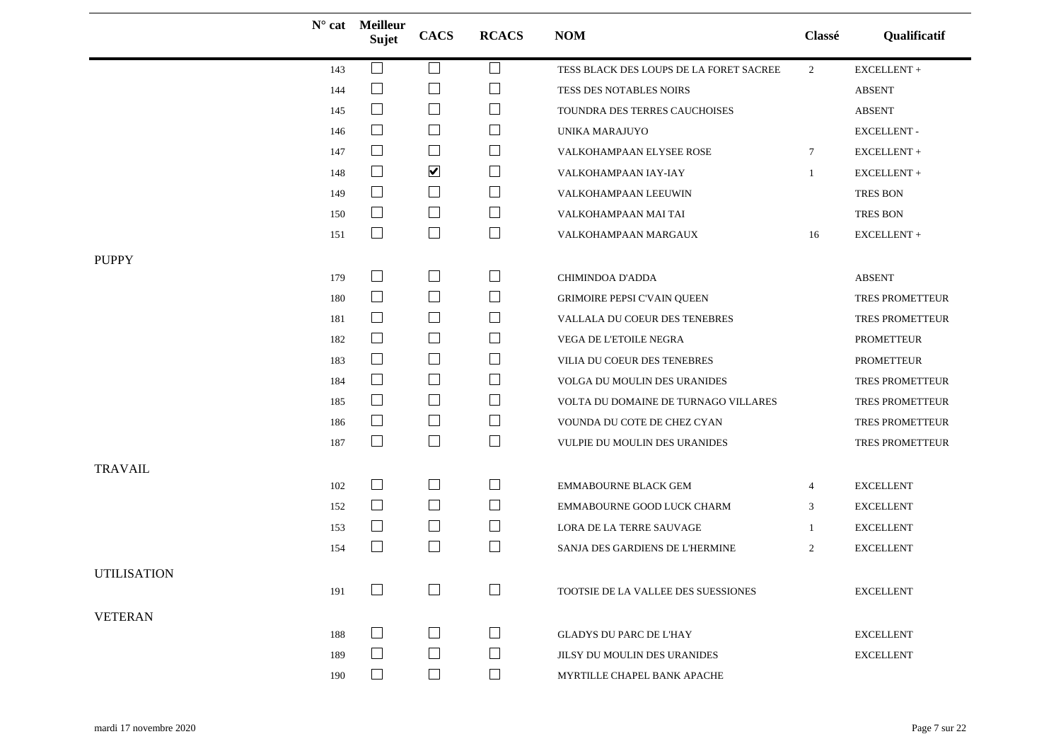|                    |     | $N^{\circ}$ cat Meilleur<br>Sujet | <b>CACS</b>                 | <b>RCACS</b> | <b>NOM</b>                              | Classé          | Qualificatif        |
|--------------------|-----|-----------------------------------|-----------------------------|--------------|-----------------------------------------|-----------------|---------------------|
|                    | 143 | $\Box$                            | $\Box$                      | $\Box$       | TESS BLACK DES LOUPS DE LA FORET SACREE | $\overline{2}$  | ${\sf EXCELLENT}$ + |
|                    | 144 | $\mathcal{L}_{\mathcal{A}}$       | $\mathcal{L}_{\mathcal{A}}$ | $\Box$       | TESS DES NOTABLES NOIRS                 |                 | <b>ABSENT</b>       |
|                    | 145 | $\Box$                            | $\Box$                      | ⊔            | TOUNDRA DES TERRES CAUCHOISES           |                 | <b>ABSENT</b>       |
|                    | 146 | $\Box$                            | $\Box$                      | $\Box$       | UNIKA MARAJUYO                          |                 | <b>EXCELLENT-</b>   |
|                    | 147 | $\Box$                            | $\Box$                      | $\Box$       | VALKOHAMPAAN ELYSEE ROSE                | $7\phantom{.0}$ | EXCELLENT+          |
|                    | 148 | $\overline{\phantom{a}}$          | $\blacktriangledown$        | $\Box$       | VALKOHAMPAAN IAY-IAY                    | 1               | EXCELLENT +         |
|                    | 149 | $\Box$                            | $\Box$                      | $\Box$       | VALKOHAMPAAN LEEUWIN                    |                 | <b>TRES BON</b>     |
|                    | 150 | $\Box$                            | $\Box$                      | $\Box$       | VALKOHAMPAAN MAI TAI                    |                 | TRES BON            |
|                    | 151 | $\sqcup$                          | $\Box$                      | $\Box$       | VALKOHAMPAAN MARGAUX                    | 16              | EXCELLENT +         |
| <b>PUPPY</b>       |     |                                   |                             |              |                                         |                 |                     |
|                    | 179 | $\Box$                            | $\Box$                      | $\Box$       | CHIMINDOA D'ADDA                        |                 | <b>ABSENT</b>       |
|                    | 180 | $\Box$                            | $\Box$                      | ⊔            | GRIMOIRE PEPSI C'VAIN QUEEN             |                 | TRES PROMETTEUR     |
|                    | 181 | $\Box$                            | $\Box$                      | $\Box$       | VALLALA DU COEUR DES TENEBRES           |                 | TRES PROMETTEUR     |
|                    | 182 | $\Box$                            | $\Box$                      | $\Box$       | VEGA DE L'ETOILE NEGRA                  |                 | <b>PROMETTEUR</b>   |
|                    | 183 | $\Box$                            | $\Box$                      | ⊔            | VILIA DU COEUR DES TENEBRES             |                 | <b>PROMETTEUR</b>   |
|                    | 184 | $\Box$                            | $\Box$                      | $\Box$       | VOLGA DU MOULIN DES URANIDES            |                 | TRES PROMETTEUR     |
|                    | 185 | $\Box$                            | $\Box$                      | $\Box$       | VOLTA DU DOMAINE DE TURNAGO VILLARES    |                 | TRES PROMETTEUR     |
|                    | 186 | $\Box$                            | $\Box$                      | $\Box$       | VOUNDA DU COTE DE CHEZ CYAN             |                 | TRES PROMETTEUR     |
|                    | 187 | $\Box$                            | $\Box$                      | $\Box$       | VULPIE DU MOULIN DES URANIDES           |                 | TRES PROMETTEUR     |
| <b>TRAVAIL</b>     |     |                                   |                             |              |                                         |                 |                     |
|                    | 102 | $\Box$                            | $\Box$                      | $\Box$       | <b>EMMABOURNE BLACK GEM</b>             | 4               | <b>EXCELLENT</b>    |
|                    | 152 | $\Box$                            | $\Box$                      | $\Box$       | EMMABOURNE GOOD LUCK CHARM              | 3               | <b>EXCELLENT</b>    |
|                    | 153 | $\Box$                            | $\Box$                      | $\Box$       | LORA DE LA TERRE SAUVAGE                | 1               | <b>EXCELLENT</b>    |
|                    | 154 | $\Box$                            | $\Box$                      | $\Box$       | SANJA DES GARDIENS DE L'HERMINE         | $\overline{2}$  | <b>EXCELLENT</b>    |
| <b>UTILISATION</b> |     |                                   |                             |              |                                         |                 |                     |
|                    | 191 |                                   | $\Box$                      | $\Box$       | TOOTSIE DE LA VALLEE DES SUESSIONES     |                 | <b>EXCELLENT</b>    |
| <b>VETERAN</b>     |     |                                   |                             |              |                                         |                 |                     |
|                    | 188 | ⊔                                 | $\Box$                      | $\Box$       | <b>GLADYS DU PARC DE L'HAY</b>          |                 | <b>EXCELLENT</b>    |
|                    | 189 |                                   | $\Box$                      | $\Box$       | JILSY DU MOULIN DES URANIDES            |                 | <b>EXCELLENT</b>    |
|                    | 190 |                                   | $\Box$                      | $\Box$       | MYRTILLE CHAPEL BANK APACHE             |                 |                     |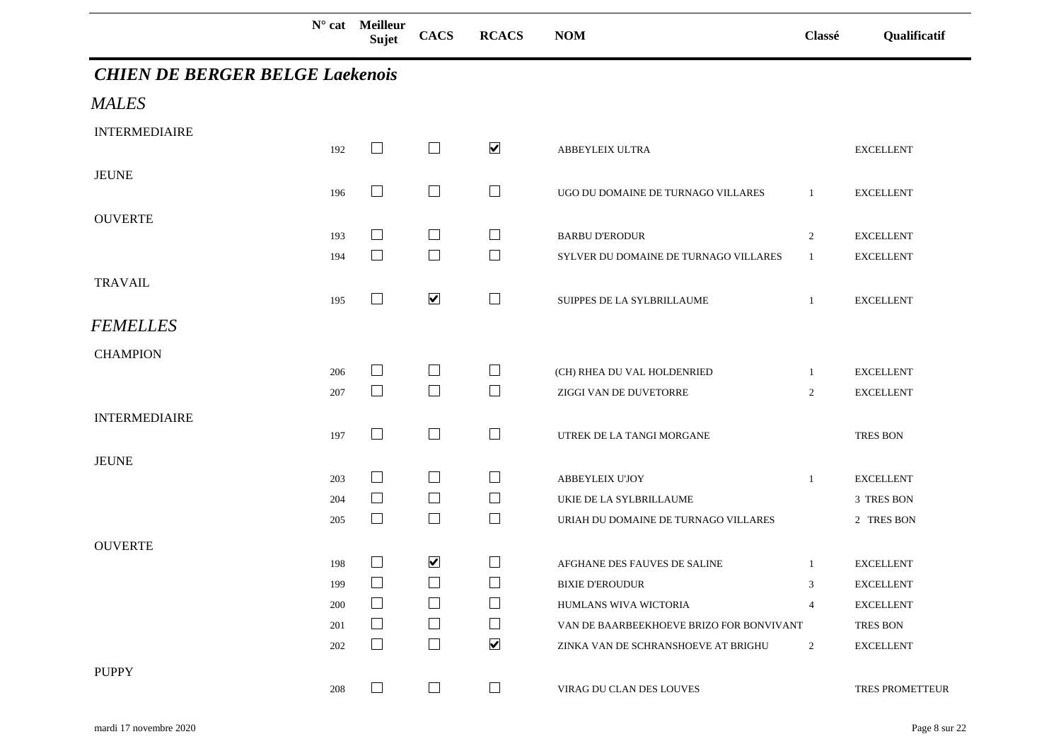|                                        |            | $N^{\circ}$ cat Meilleur<br><b>Sujet</b> | <b>CACS</b>          | <b>RCACS</b>         | <b>NOM</b>                                                      | Classé         | Qualificatif                         |
|----------------------------------------|------------|------------------------------------------|----------------------|----------------------|-----------------------------------------------------------------|----------------|--------------------------------------|
| <b>CHIEN DE BERGER BELGE Laekenois</b> |            |                                          |                      |                      |                                                                 |                |                                      |
| <b>MALES</b>                           |            |                                          |                      |                      |                                                                 |                |                                      |
| <b>INTERMEDIAIRE</b>                   | 192        | $\Box$                                   | $\Box$               | $\blacktriangledown$ | ABBEYLEIX ULTRA                                                 |                | <b>EXCELLENT</b>                     |
| <b>JEUNE</b>                           | 196        | $\Box$                                   | $\Box$               | $\Box$               | UGO DU DOMAINE DE TURNAGO VILLARES                              | $\mathbf{1}$   | <b>EXCELLENT</b>                     |
| <b>OUVERTE</b>                         | 193        | $\Box$                                   | $\Box$               | $\Box$               | <b>BARBU D'ERODUR</b>                                           | 2              | <b>EXCELLENT</b>                     |
| <b>TRAVAIL</b>                         | 194        | $\Box$                                   | $\Box$               | $\Box$               | SYLVER DU DOMAINE DE TURNAGO VILLARES                           | -1             | <b>EXCELLENT</b>                     |
| <b>FEMELLES</b>                        | 195        | $\Box$                                   | $\blacktriangledown$ | $\Box$               | SUIPPES DE LA SYLBRILLAUME                                      | $\mathbf{1}$   | <b>EXCELLENT</b>                     |
| <b>CHAMPION</b>                        |            |                                          |                      |                      |                                                                 |                |                                      |
|                                        | 206<br>207 | $\Box$<br>$\Box$                         | $\Box$<br>$\Box$     | $\Box$<br>$\Box$     | (CH) RHEA DU VAL HOLDENRIED<br>ZIGGI VAN DE DUVETORRE           | -1<br>2        | <b>EXCELLENT</b><br><b>EXCELLENT</b> |
| <b>INTERMEDIAIRE</b>                   | 197        | $\Box$                                   | $\Box$               | $\Box$               | UTREK DE LA TANGI MORGANE                                       |                | TRES BON                             |
| <b>JEUNE</b>                           |            |                                          |                      |                      |                                                                 |                |                                      |
|                                        | 203        | $\begin{array}{ccc} \hline \end{array}$  | ⊔                    | $\Box$               | ABBEYLEIX U'JOY                                                 | $\mathbf{1}$   | <b>EXCELLENT</b>                     |
|                                        | 204<br>205 | $\Box$<br>$\Box$                         | $\Box$<br>$\Box$     | $\Box$<br>$\Box$     | UKIE DE LA SYLBRILLAUME<br>URIAH DU DOMAINE DE TURNAGO VILLARES |                | 3 TRES BON<br>2 TRES BON             |
| <b>OUVERTE</b>                         |            |                                          |                      |                      |                                                                 |                |                                      |
|                                        | 198        | $\Box$                                   | $\blacktriangledown$ | $\Box$               | AFGHANE DES FAUVES DE SALINE                                    | $\mathbf{1}$   | <b>EXCELLENT</b>                     |
|                                        | 199        | $\vert \ \ \vert$                        |                      |                      | <b>BIXIE D'EROUDUR</b>                                          | 3              | <b>EXCELLENT</b>                     |
|                                        | 200        |                                          | $\Box$               |                      | HUMLANS WIVA WICTORIA                                           | 4              | <b>EXCELLENT</b>                     |
|                                        | 201        | $\mathsf{L}$                             | $\Box$               | $\Box$               | VAN DE BAARBEEKHOEVE BRIZO FOR BONVIVANT                        |                | <b>TRES BON</b>                      |
|                                        | 202        | $\mathsf{L}$                             | $\perp$              | $\blacktriangledown$ | ZINKA VAN DE SCHRANSHOEVE AT BRIGHU                             | $\overline{2}$ | <b>EXCELLENT</b>                     |
| <b>PUPPY</b>                           | 208        |                                          |                      |                      | VIRAG DU CLAN DES LOUVES                                        |                | <b>TRES PROMETTEUR</b>               |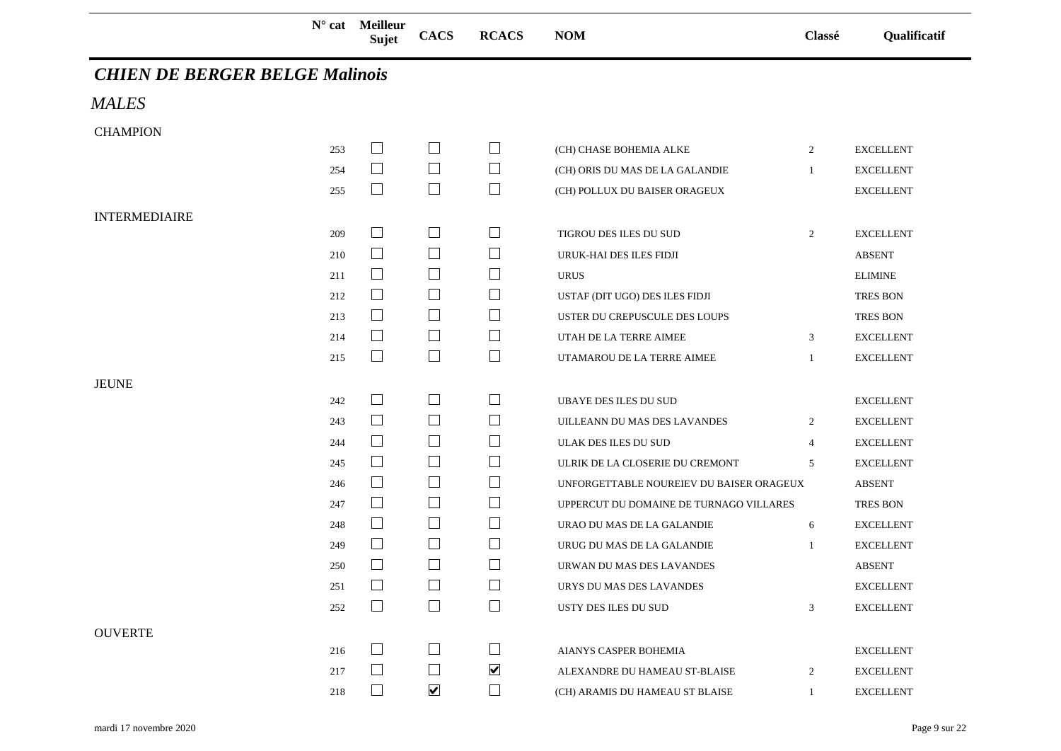**N° cat Meilleur** 

## **Sujet CACS RCACS NOM Classé Qualificatif**

## *CHIEN DE BERGER BELGE Malinois*

*MALES*

| <b>CHAMPION</b>      |     |        |                          |                      |                                          |                |                  |
|----------------------|-----|--------|--------------------------|----------------------|------------------------------------------|----------------|------------------|
|                      | 253 | $\Box$ | $\mathbf{L}$             | $\mathsf{L}$         | (CH) CHASE BOHEMIA ALKE                  | $\overline{2}$ | <b>EXCELLENT</b> |
|                      | 254 | $\Box$ | $\Box$                   | $\Box$               | (CH) ORIS DU MAS DE LA GALANDIE          | $\mathbf{1}$   | <b>EXCELLENT</b> |
|                      | 255 | $\Box$ | $\Box$                   | $\Box$               | (CH) POLLUX DU BAISER ORAGEUX            |                | <b>EXCELLENT</b> |
| <b>INTERMEDIAIRE</b> |     |        |                          |                      |                                          |                |                  |
|                      | 209 | $\Box$ | $\Box$                   | $\sqcup$             | TIGROU DES ILES DU SUD                   | 2              | <b>EXCELLENT</b> |
|                      | 210 | $\Box$ | $\Box$                   | $\Box$               | URUK-HAI DES ILES FIDJI                  |                | <b>ABSENT</b>    |
|                      | 211 | $\Box$ | $\Box$                   | $\mathsf{L}$         | <b>URUS</b>                              |                | <b>ELIMINE</b>   |
|                      | 212 | $\Box$ | $\Box$                   | $\Box$               | USTAF (DIT UGO) DES ILES FIDJI           |                | <b>TRES BON</b>  |
|                      | 213 | $\Box$ | $\Box$                   | $\Box$               | USTER DU CREPUSCULE DES LOUPS            |                | <b>TRES BON</b>  |
|                      | 214 | $\Box$ | $\Box$                   | ⊔                    | UTAH DE LA TERRE AIMEE                   | 3              | <b>EXCELLENT</b> |
|                      | 215 | $\Box$ | $\Box$                   | $\Box$               | UTAMAROU DE LA TERRE AIMEE               | -1             | <b>EXCELLENT</b> |
| <b>JEUNE</b>         |     |        |                          |                      |                                          |                |                  |
|                      | 242 | $\Box$ | $\Box$                   | $\Box$               | <b>UBAYE DES ILES DU SUD</b>             |                | <b>EXCELLENT</b> |
|                      | 243 | $\Box$ | $\Box$                   | $\Box$               | UILLEANN DU MAS DES LAVANDES             | 2              | <b>EXCELLENT</b> |
|                      | 244 | $\Box$ | $\Box$                   | $\sqcup$             | ULAK DES ILES DU SUD                     | $\overline{4}$ | <b>EXCELLENT</b> |
|                      | 245 | $\Box$ | $\Box$                   | $\mathsf{L}$         | ULRIK DE LA CLOSERIE DU CREMONT          | 5              | <b>EXCELLENT</b> |
|                      | 246 | $\Box$ | $\Box$                   | $\Box$               | UNFORGETTABLE NOUREIEV DU BAISER ORAGEUX |                | <b>ABSENT</b>    |
|                      | 247 | $\Box$ | $\Box$                   | $\Box$               | UPPERCUT DU DOMAINE DE TURNAGO VILLARES  |                | <b>TRES BON</b>  |
|                      | 248 | $\Box$ | $\Box$                   | $\Box$               | URAO DU MAS DE LA GALANDIE               | 6              | <b>EXCELLENT</b> |
|                      | 249 | $\Box$ | $\Box$                   | $\mathbb{R}^n$       | URUG DU MAS DE LA GALANDIE               | -1             | <b>EXCELLENT</b> |
|                      | 250 | $\Box$ | $\Box$                   | ⊔                    | URWAN DU MAS DES LAVANDES                |                | ABSENT           |
|                      | 251 | $\Box$ | $\Box$                   | $\Box$               | URYS DU MAS DES LAVANDES                 |                | <b>EXCELLENT</b> |
|                      | 252 | $\Box$ | $\Box$                   | $\Box$               | USTY DES ILES DU SUD                     | $\mathfrak{Z}$ | <b>EXCELLENT</b> |
| <b>OUVERTE</b>       |     |        |                          |                      |                                          |                |                  |
|                      | 216 | $\Box$ | $\Box$                   | $\Box$               | AIANYS CASPER BOHEMIA                    |                | <b>EXCELLENT</b> |
|                      | 217 | $\Box$ | $\overline{\phantom{a}}$ | $\blacktriangledown$ | ALEXANDRE DU HAMEAU ST-BLAISE            | $\overline{2}$ | <b>EXCELLENT</b> |
|                      | 218 |        | $\overline{\mathbf{v}}$  |                      | (CH) ARAMIS DU HAMEAU ST BLAISE          | 1              | <b>EXCELLENT</b> |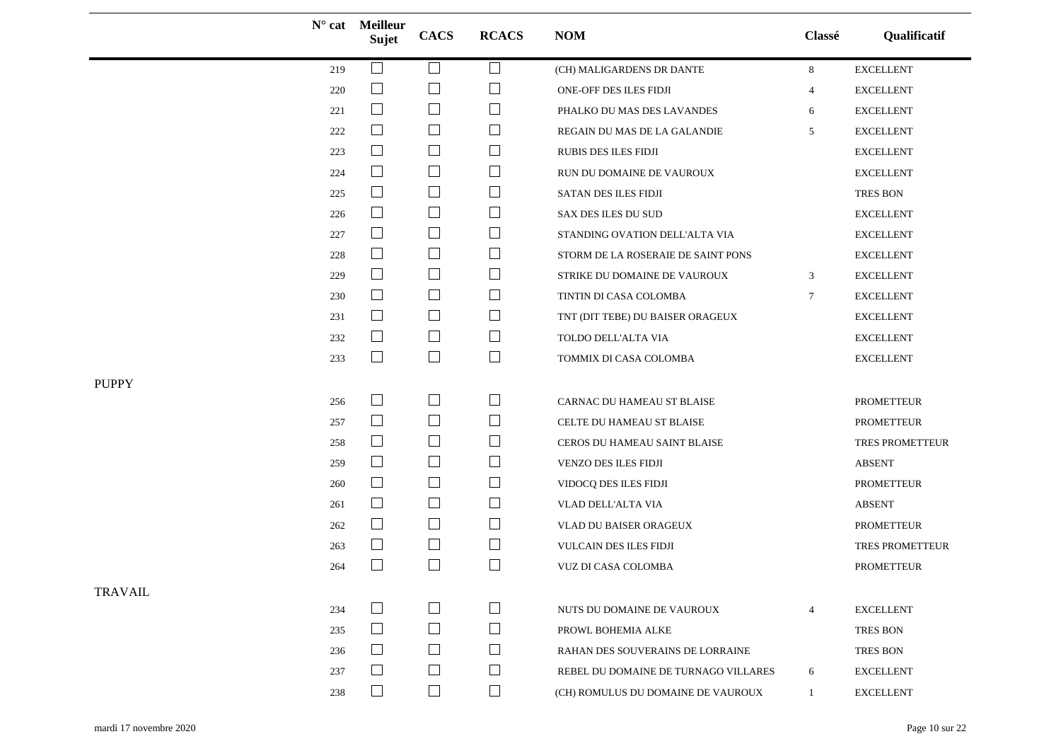|                |     | N° cat Meilleur<br>Sujet | <b>CACS</b>   | <b>RCACS</b> | <b>NOM</b>                           | Classé          | Qualificatif      |
|----------------|-----|--------------------------|---------------|--------------|--------------------------------------|-----------------|-------------------|
|                | 219 | □                        | $\Box$        | ப            | (CH) MALIGARDENS DR DANTE            | 8               | <b>EXCELLENT</b>  |
|                | 220 | $\Box$                   | $\Box$        | $\Box$       | ONE-OFF DES ILES FIDJI               | 4               | <b>EXCELLENT</b>  |
|                | 221 | $\Box$                   | $\Box$        | ⊔            | PHALKO DU MAS DES LAVANDES           | 6               | <b>EXCELLENT</b>  |
|                | 222 | $\Box$                   | $\Box$        | ⊔            | REGAIN DU MAS DE LA GALANDIE         | 5               | <b>EXCELLENT</b>  |
|                | 223 | $\Box$                   | $\Box$        | $\Box$       | <b>RUBIS DES ILES FIDJI</b>          |                 | <b>EXCELLENT</b>  |
|                | 224 | $\Box$                   | $\Box$        | ப            | RUN DU DOMAINE DE VAUROUX            |                 | <b>EXCELLENT</b>  |
|                | 225 | ⊔                        | $\Box$        | ⊔            | SATAN DES ILES FIDJI                 |                 | <b>TRES BON</b>   |
|                | 226 | $\Box$                   | $\Box$        | $\Box$       | SAX DES ILES DU SUD                  |                 | <b>EXCELLENT</b>  |
|                | 227 | $\Box$                   | $\Box$        | $\Box$       | STANDING OVATION DELL'ALTA VIA       |                 | <b>EXCELLENT</b>  |
|                | 228 | ⊔                        | $\Box$        | ப            | STORM DE LA ROSERAIE DE SAINT PONS   |                 | <b>EXCELLENT</b>  |
|                | 229 | $\Box$                   | $\Box$        | $\sqcup$     | STRIKE DU DOMAINE DE VAUROUX         | 3               | <b>EXCELLENT</b>  |
|                | 230 | $\Box$                   | $\Box$        | $\Box$       | TINTIN DI CASA COLOMBA               | $7\phantom{.0}$ | <b>EXCELLENT</b>  |
|                | 231 | $\Box$                   | $\Box$        | ⊔            | TNT (DIT TEBE) DU BAISER ORAGEUX     |                 | <b>EXCELLENT</b>  |
|                | 232 | $\Box$                   | $\Box$        | $\Box$       | TOLDO DELL'ALTA VIA                  |                 | <b>EXCELLENT</b>  |
|                | 233 | $\Box$                   | $\Box$        | $\Box$       | TOMMIX DI CASA COLOMBA               |                 | <b>EXCELLENT</b>  |
| <b>PUPPY</b>   |     |                          |               |              |                                      |                 |                   |
|                | 256 | $\Box$                   | $\Box$        | $\Box$       | CARNAC DU HAMEAU ST BLAISE           |                 | PROMETTEUR        |
|                | 257 | $\Box$                   | $\Box$        | Ц            | CELTE DU HAMEAU ST BLAISE            |                 | <b>PROMETTEUR</b> |
|                | 258 | $\Box$                   | $\Box$        | $\sqcup$     | CEROS DU HAMEAU SAINT BLAISE         |                 | TRES PROMETTEUR   |
|                | 259 | $\Box$                   | $\Box$        | $\Box$       | VENZO DES ILES FIDJI                 |                 | <b>ABSENT</b>     |
|                | 260 | $\Box$                   | $\Box$        | ⊔            | VIDOCQ DES ILES FIDJI                |                 | <b>PROMETTEUR</b> |
|                | 261 | $\Box$                   | $\Box$        | ⊔            | VLAD DELL'ALTA VIA                   |                 | <b>ABSENT</b>     |
|                | 262 | $\Box$                   | $\Box$        | ⊔            | VLAD DU BAISER ORAGEUX               |                 | PROMETTEUR        |
|                | 263 | $\Box$                   | $\Box$        | $\Box$       | VULCAIN DES ILES FIDJI               |                 | TRES PROMETTEUR   |
|                | 264 | $\Box$                   | $\Box$        | $\Box$       | <b>VUZ DI CASA COLOMBA</b>           |                 | <b>PROMETTEUR</b> |
| <b>TRAVAIL</b> |     |                          |               |              |                                      |                 |                   |
|                | 234 | $\Box$                   | $\mathcal{L}$ | $\Box$       | NUTS DU DOMAINE DE VAUROUX           | $\overline{4}$  | <b>EXCELLENT</b>  |
|                | 235 | $\perp$                  | $\Box$        | $\Box$       | PROWL BOHEMIA ALKE                   |                 | <b>TRES BON</b>   |
|                | 236 | $\Box$                   | $\mathbf{L}$  | $\Box$       | RAHAN DES SOUVERAINS DE LORRAINE     |                 | TRES BON          |
|                | 237 | $\Box$                   | $\Box$        | $\Box$       | REBEL DU DOMAINE DE TURNAGO VILLARES | 6               | <b>EXCELLENT</b>  |
|                | 238 | $\vert \ \ \vert$        | $\Box$        | $\Box$       | (CH) ROMULUS DU DOMAINE DE VAUROUX   | $\mathbf{1}$    | <b>EXCELLENT</b>  |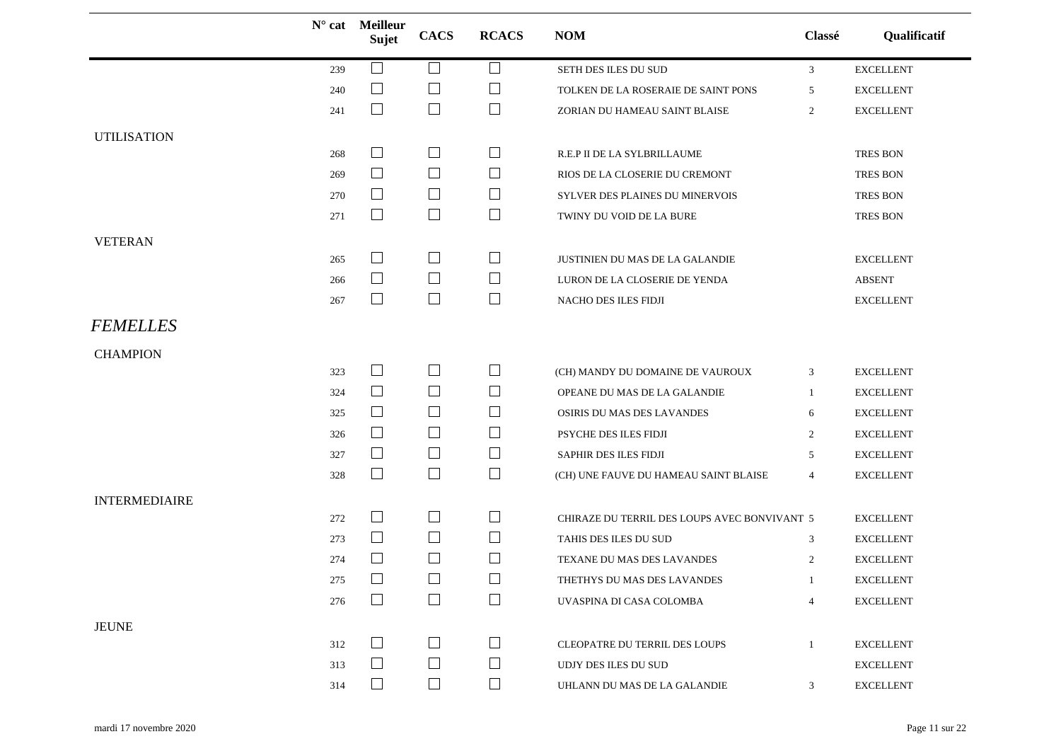|                      |     | $N^{\circ}$ cat Meilleur<br>Sujet | <b>CACS</b>                 | <b>RCACS</b> | <b>NOM</b>                                   | Classé         | Qualificatif      |
|----------------------|-----|-----------------------------------|-----------------------------|--------------|----------------------------------------------|----------------|-------------------|
|                      | 239 |                                   | $\Box$                      | ⊔            | SETH DES ILES DU SUD                         | 3              | <b>EXCELLENT</b>  |
|                      | 240 | $\Box$                            | $\Box$                      | $\Box$       | TOLKEN DE LA ROSERAIE DE SAINT PONS          | 5              | <b>EXCELLENT</b>  |
|                      | 241 | $\overline{\phantom{a}}$          | $\overline{\phantom{a}}$    | $\Box$       | ZORIAN DU HAMEAU SAINT BLAISE                | 2              | <b>EXCELLENT</b>  |
| <b>UTILISATION</b>   |     |                                   |                             |              |                                              |                |                   |
|                      | 268 | $\Box$                            | $\overline{\phantom{a}}$    | ⊔            | R.E.P II DE LA SYLBRILLAUME                  |                | <b>TRES BON</b>   |
|                      | 269 | $\Box$                            | $\overline{\phantom{a}}$    | $\Box$       | RIOS DE LA CLOSERIE DU CREMONT               |                | <b>TRES BON</b>   |
|                      | 270 | $\Box$                            | $\Box$                      | $\Box$       | SYLVER DES PLAINES DU MINERVOIS              |                | <b>TRES BON</b>   |
|                      | 271 | $\overline{\phantom{a}}$          | $\Box$                      | $\Box$       | TWINY DU VOID DE LA BURE                     |                | <b>TRES BON</b>   |
| <b>VETERAN</b>       |     |                                   |                             |              |                                              |                |                   |
|                      | 265 | $\Box$                            | $\Box$                      | ⊔            | JUSTINIEN DU MAS DE LA GALANDIE              |                | <b>EXCELLENT</b>  |
|                      | 266 | $\Box$                            | $\Box$                      | $\sqcup$     | LURON DE LA CLOSERIE DE YENDA                |                | <b>ABSENT</b>     |
|                      | 267 | $\Box$                            | $\Box$                      | $\Box$       | NACHO DES ILES FIDJI                         |                | <b>EXCELLENT</b>  |
| <b>FEMELLES</b>      |     |                                   |                             |              |                                              |                |                   |
| <b>CHAMPION</b>      |     |                                   |                             |              |                                              |                |                   |
|                      | 323 | $\Box$                            | $\Box$                      | ⊔            | (CH) MANDY DU DOMAINE DE VAUROUX             | 3              | <b>EXCELLENT</b>  |
|                      | 324 | $\overline{\phantom{a}}$          | $\Box$                      | $\Box$       | OPEANE DU MAS DE LA GALANDIE                 | 1              | <b>EXCELLENT</b>  |
|                      | 325 | $\Box$                            | $\Box$                      | $\sqcup$     | OSIRIS DU MAS DES LAVANDES                   | 6              | <b>EXCELLENT</b>  |
|                      | 326 | $\Box$                            | $\Box$                      | $\sqcup$     | PSYCHE DES ILES FIDJI                        | $\overline{2}$ | <b>EXCELLENT</b>  |
|                      | 327 | $\Box$                            | $\Box$                      | $\Box$       | SAPHIR DES ILES FIDJI                        | 5              | <b>EXCELLENT</b>  |
|                      | 328 | $\Box$                            | $\Box$                      | $\Box$       | (CH) UNE FAUVE DU HAMEAU SAINT BLAISE        | $\overline{4}$ | <b>EXCELLENT</b>  |
| <b>INTERMEDIAIRE</b> |     |                                   |                             |              |                                              |                |                   |
|                      | 272 | $\Box$                            | $\mathcal{L}_{\mathcal{A}}$ | $\Box$       | CHIRAZE DU TERRIL DES LOUPS AVEC BONVIVANT 5 |                | <b>EXCELLENT</b>  |
|                      | 273 | $\Box$                            | $\Box$                      | ⊔            | TAHIS DES ILES DU SUD                        | 3              | <b>EXCELLENT</b>  |
|                      | 274 | $\Box$                            | $\Box$                      | $\Box$       | TEXANE DU MAS DES LAVANDES                   | 2              | <b>EXCELLENT</b>  |
|                      | 275 | $\Box$                            | $\Box$                      | $\Box$       | THETHYS DU MAS DES LAVANDES                  | -1             | <b>EXCELLENT</b>  |
|                      | 276 | $\Box$                            | $\Box$                      | $\Box$       | UVASPINA DI CASA COLOMBA                     | $\overline{4}$ | <b>EXCELLENT</b>  |
| <b>JEUNE</b>         |     |                                   |                             |              |                                              |                |                   |
|                      | 312 | $\mathbf{1}$                      | $\mathbf{L}$                |              | CLEOPATRE DU TERRIL DES LOUPS                | $\mathbf{1}$   | <b>EXCELLENT</b>  |
|                      | 313 | $\Box$                            | $\Box$                      | $\Box$       | UDJY DES ILES DU SUD                         |                | <b>EXCELLENT</b>  |
|                      | 314 | $\Box$                            | $\Box$                      | ⊔            | UHLANN DU MAS DE LA GALANDIE                 | 3              | ${\sf EXCELLENT}$ |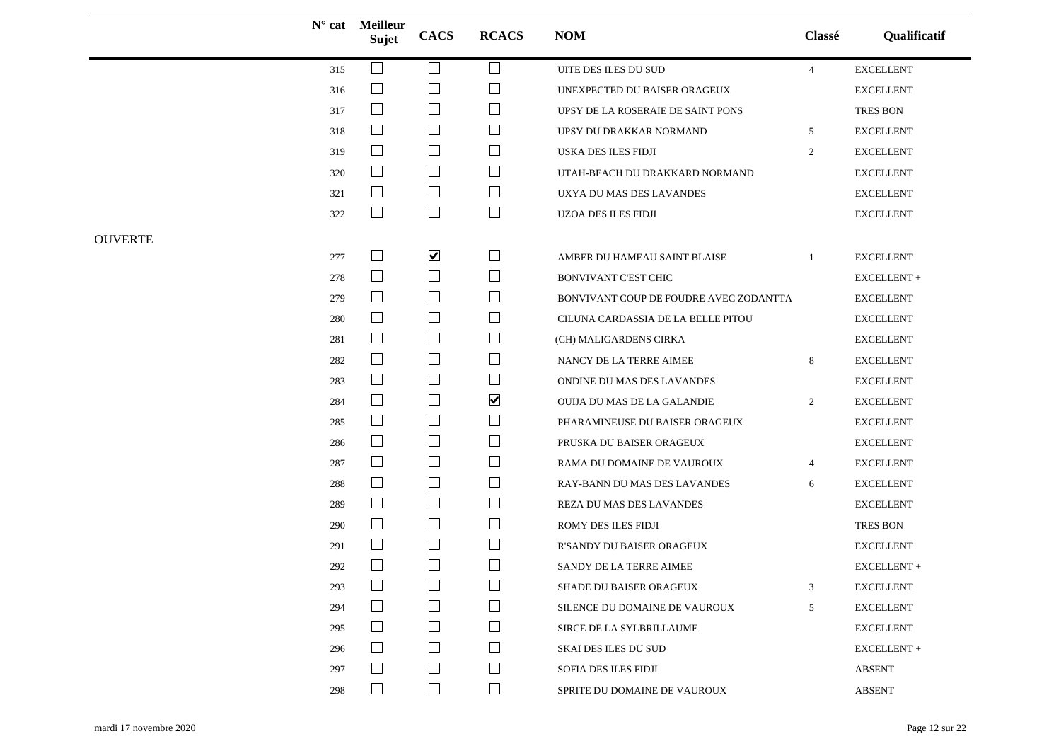|                |     | N° cat Meilleur<br>Sujet    | <b>CACS</b>                 | <b>RCACS</b>             | <b>NOM</b>                             | Classé         | Qualificatif     |
|----------------|-----|-----------------------------|-----------------------------|--------------------------|----------------------------------------|----------------|------------------|
|                | 315 | $\mathcal{L}$               | $\Box$                      | ⊔                        | UITE DES ILES DU SUD                   | $\overline{4}$ | <b>EXCELLENT</b> |
|                | 316 | $\mathcal{L}_{\mathcal{A}}$ | $\mathbf{I}$                |                          | UNEXPECTED DU BAISER ORAGEUX           |                | <b>EXCELLENT</b> |
|                | 317 | $\Box$                      | $\Box$                      | $\Box$                   | UPSY DE LA ROSERAIE DE SAINT PONS      |                | TRES BON         |
|                | 318 | $\Box$                      | $\overline{\phantom{a}}$    | $\Box$                   | UPSY DU DRAKKAR NORMAND                | 5              | <b>EXCELLENT</b> |
|                | 319 | $\Box$                      | $\Box$                      | $\Box$                   | USKA DES ILES FIDJI                    | 2              | <b>EXCELLENT</b> |
|                | 320 | $\Box$                      | $\overline{\phantom{a}}$    | $\sqcup$                 | UTAH-BEACH DU DRAKKARD NORMAND         |                | <b>EXCELLENT</b> |
|                | 321 | ⊔                           | $\mathcal{L}_{\mathcal{A}}$ | $\Box$                   | UXYA DU MAS DES LAVANDES               |                | <b>EXCELLENT</b> |
|                | 322 | $\Box$                      | $\Box$                      | ⊔                        | UZOA DES ILES FIDJI                    |                | <b>EXCELLENT</b> |
| <b>OUVERTE</b> |     |                             |                             |                          |                                        |                |                  |
|                | 277 | $\Box$                      | $\blacktriangledown$        | $\sqcup$                 | AMBER DU HAMEAU SAINT BLAISE           | -1             | <b>EXCELLENT</b> |
|                | 278 | $\Box$                      | $\overline{\phantom{a}}$    | $\Box$                   | <b>BONVIVANT C'EST CHIC</b>            |                | EXCELLENT +      |
|                | 279 | $\Box$                      | $\Box$                      | $\Box$                   | BONVIVANT COUP DE FOUDRE AVEC ZODANTTA |                | <b>EXCELLENT</b> |
|                | 280 | $\Box$                      | $\Box$                      | $\sqcup$                 | CILUNA CARDASSIA DE LA BELLE PITOU     |                | <b>EXCELLENT</b> |
|                | 281 | $\Box$                      | $\Box$                      | $\Box$                   | (CH) MALIGARDENS CIRKA                 |                | <b>EXCELLENT</b> |
|                | 282 | $\Box$                      | $\Box$                      | ⊔                        | NANCY DE LA TERRE AIMEE                | 8              | <b>EXCELLENT</b> |
|                | 283 | $\Box$                      | $\Box$                      | $\sqcup$                 | ONDINE DU MAS DES LAVANDES             |                | <b>EXCELLENT</b> |
|                | 284 | $\Box$                      | $\Box$                      | $\blacktriangledown$     | OUIJA DU MAS DE LA GALANDIE            | $\overline{2}$ | <b>EXCELLENT</b> |
|                | 285 | $\overline{\phantom{a}}$    | $\Box$                      | ⊔                        | PHARAMINEUSE DU BAISER ORAGEUX         |                | <b>EXCELLENT</b> |
|                | 286 | $\Box$                      | $\Box$                      | ⊔                        | PRUSKA DU BAISER ORAGEUX               |                | <b>EXCELLENT</b> |
|                | 287 | $\Box$                      | $\Box$                      | $\Box$                   | RAMA DU DOMAINE DE VAUROUX             | $\overline{4}$ | <b>EXCELLENT</b> |
|                | 288 | $\overline{\phantom{a}}$    | $\Box$                      | ⊔                        | RAY-BANN DU MAS DES LAVANDES           | 6              | <b>EXCELLENT</b> |
|                | 289 | $\Box$                      | $\Box$                      | $\sqcup$                 | REZA DU MAS DES LAVANDES               |                | <b>EXCELLENT</b> |
|                | 290 | $\Box$                      | $\Box$                      | $\sqcup$                 | ROMY DES ILES FIDJI                    |                | TRES BON         |
|                | 291 | $\mathcal{L}_{\mathcal{A}}$ | $\Box$                      | ⊔                        | R'SANDY DU BAISER ORAGEUX              |                | <b>EXCELLENT</b> |
|                | 292 |                             | $\Box$                      |                          | SANDY DE LA TERRE AIMEE                |                | EXCELLENT+       |
|                | 293 | $\Box$                      | $\Box$                      | $\Box$                   | SHADE DU BAISER ORAGEUX                | 3              | <b>EXCELLENT</b> |
|                | 294 | $\blacksquare$              | $\vert \ \ \vert$           | $\overline{\phantom{0}}$ | SILENCE DU DOMAINE DE VAUROUX          | 5              | <b>EXCELLENT</b> |
|                | 295 | $\Box$                      | $\Box$                      | $\sqcup$                 | SIRCE DE LA SYLBRILLAUME               |                | <b>EXCELLENT</b> |
|                | 296 | $\mathcal{L}_{\mathcal{A}}$ | $\Box$                      | ⊔                        | <b>SKAI DES ILES DU SUD</b>            |                | EXCELLENT +      |
|                | 297 |                             | $\Box$                      | ⊔                        | SOFIA DES ILES FIDJI                   |                | <b>ABSENT</b>    |
|                | 298 | $\mathbb{R}^n$              | $\Box$                      | $\Box$                   | SPRITE DU DOMAINE DE VAUROUX           |                | <b>ABSENT</b>    |
|                |     |                             |                             |                          |                                        |                |                  |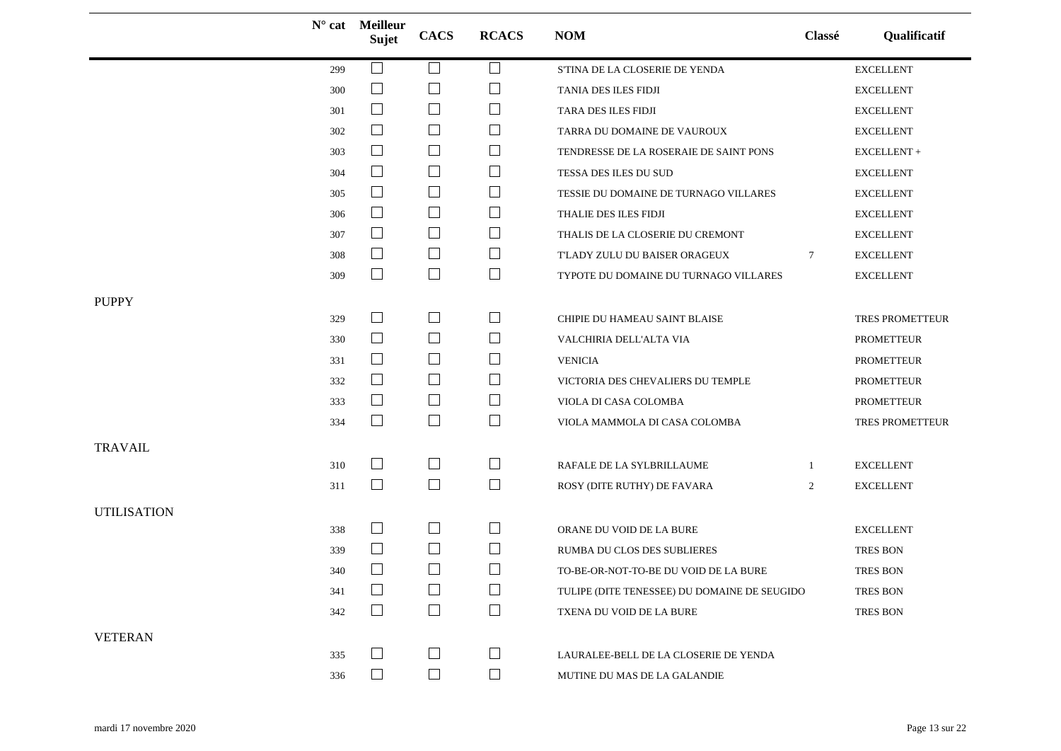|                    |     | N° cat Meilleur<br>Sujet | <b>CACS</b>              | <b>RCACS</b>                | <b>NOM</b>                                   | Classé          | Qualificatif      |
|--------------------|-----|--------------------------|--------------------------|-----------------------------|----------------------------------------------|-----------------|-------------------|
|                    | 299 | $\Box$                   | $\Box$                   | $\overline{\phantom{a}}$    | S'TINA DE LA CLOSERIE DE YENDA               |                 | <b>EXCELLENT</b>  |
|                    | 300 | $\Box$                   | $\overline{\phantom{a}}$ | ப                           | TANIA DES ILES FIDJI                         |                 | <b>EXCELLENT</b>  |
|                    | 301 | $\Box$                   | $\overline{\phantom{a}}$ | $\mathcal{L}_{\mathcal{A}}$ | TARA DES ILES FIDJI                          |                 | <b>EXCELLENT</b>  |
|                    | 302 | $\Box$                   | $\Box$                   | ⊔                           | TARRA DU DOMAINE DE VAUROUX                  |                 | <b>EXCELLENT</b>  |
|                    | 303 | $\Box$                   | $\Box$                   | $\mathcal{L}_{\mathcal{A}}$ | TENDRESSE DE LA ROSERAIE DE SAINT PONS       |                 | EXCELLENT +       |
|                    | 304 | $\Box$                   | $\Box$                   | $\Box$                      | TESSA DES ILES DU SUD                        |                 | <b>EXCELLENT</b>  |
|                    | 305 | $\Box$                   | $\overline{\phantom{a}}$ | ⊔                           | TESSIE DU DOMAINE DE TURNAGO VILLARES        |                 | <b>EXCELLENT</b>  |
|                    | 306 | $\Box$                   | $\Box$                   | $\sqcup$                    | THALIE DES ILES FIDJI                        |                 | <b>EXCELLENT</b>  |
|                    | 307 | $\Box$                   | $\Box$                   | $\Box$                      | THALIS DE LA CLOSERIE DU CREMONT             |                 | <b>EXCELLENT</b>  |
|                    | 308 | $\Box$                   | $\overline{\phantom{a}}$ | $\Box$                      | T'LADY ZULU DU BAISER ORAGEUX                | $7\phantom{.0}$ | <b>EXCELLENT</b>  |
|                    | 309 | $\Box$                   | $\Box$                   | $\Box$                      | TYPOTE DU DOMAINE DU TURNAGO VILLARES        |                 | <b>EXCELLENT</b>  |
| <b>PUPPY</b>       |     |                          |                          |                             |                                              |                 |                   |
|                    | 329 | $\Box$                   | $\Box$                   | ⊔                           | CHIPIE DU HAMEAU SAINT BLAISE                |                 | TRES PROMETTEUR   |
|                    | 330 | $\Box$                   | $\Box$                   | $\Box$                      | VALCHIRIA DELL'ALTA VIA                      |                 | <b>PROMETTEUR</b> |
|                    | 331 | $\Box$                   | $\overline{\phantom{a}}$ | $\Box$                      | <b>VENICIA</b>                               |                 | <b>PROMETTEUR</b> |
|                    | 332 | $\Box$                   | $\Box$                   | $\Box$                      | VICTORIA DES CHEVALIERS DU TEMPLE            |                 | <b>PROMETTEUR</b> |
|                    | 333 | $\Box$                   | $\Box$                   | $\Box$                      | VIOLA DI CASA COLOMBA                        |                 | <b>PROMETTEUR</b> |
|                    | 334 | $\Box$                   | $\Box$                   | $\Box$                      | VIOLA MAMMOLA DI CASA COLOMBA                |                 | TRES PROMETTEUR   |
| <b>TRAVAIL</b>     |     |                          |                          |                             |                                              |                 |                   |
|                    | 310 | $\mathsf{L}$             | $\Box$                   | ⊔                           | RAFALE DE LA SYLBRILLAUME                    | -1              | <b>EXCELLENT</b>  |
|                    | 311 | $\Box$                   | $\Box$                   | $\Box$                      | ROSY (DITE RUTHY) DE FAVARA                  | $\overline{2}$  | <b>EXCELLENT</b>  |
| <b>UTILISATION</b> |     |                          |                          |                             |                                              |                 |                   |
|                    | 338 | $\Box$                   | $\Box$                   | ⊔                           | ORANE DU VOID DE LA BURE                     |                 | <b>EXCELLENT</b>  |
|                    | 339 | $\Box$                   | $\Box$                   | $\Box$                      | RUMBA DU CLOS DES SUBLIERES                  |                 | TRES BON          |
|                    | 340 | $\Box$                   | $\overline{\phantom{a}}$ | $\Box$                      | TO-BE-OR-NOT-TO-BE DU VOID DE LA BURE        |                 | TRES BON          |
|                    | 341 |                          | $\Box$                   | $\Box$                      | TULIPE (DITE TENESSEE) DU DOMAINE DE SEUGIDO |                 | <b>TRES BON</b>   |
|                    | 342 |                          | $\Box$                   | ⊔                           | TXENA DU VOID DE LA BURE                     |                 | <b>TRES BON</b>   |
| <b>VETERAN</b>     |     |                          |                          |                             |                                              |                 |                   |
|                    | 335 |                          | $\Box$                   | $\Box$                      | LAURALEE-BELL DE LA CLOSERIE DE YENDA        |                 |                   |
|                    | 336 | $\Box$                   | $\Box$                   | $\Box$                      | MUTINE DU MAS DE LA GALANDIE                 |                 |                   |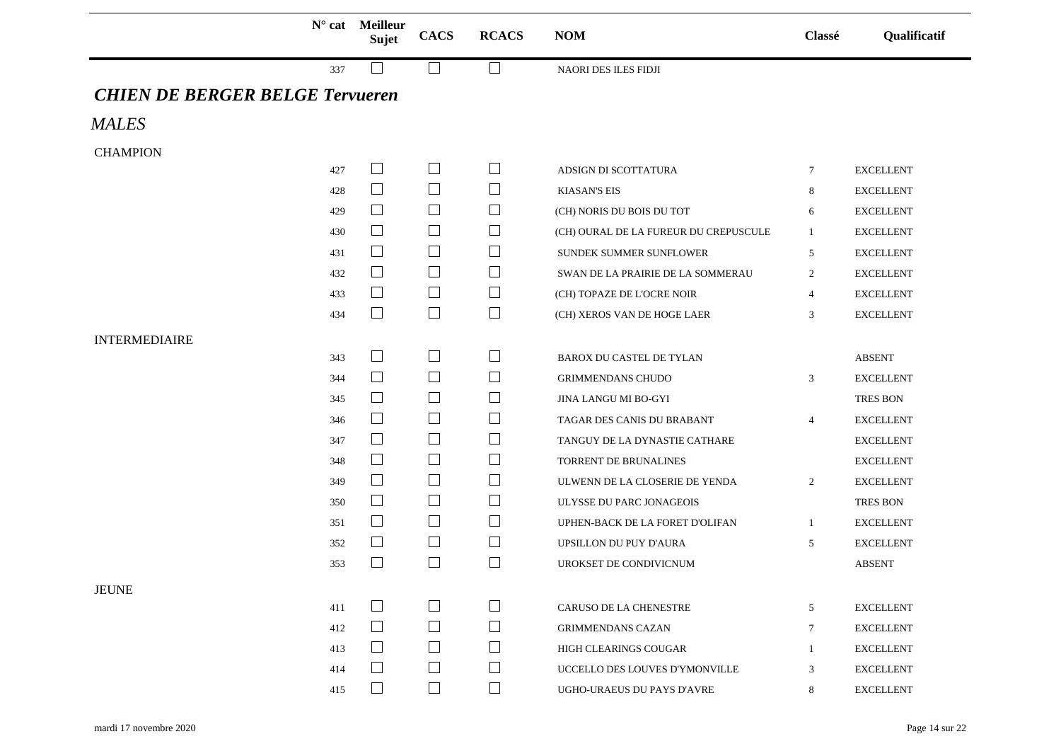|                                        |     | $N^{\circ}$ cat Meilleur<br><b>Sujet</b> | <b>CACS</b>                           | <b>RCACS</b> | <b>NOM</b>                            | Classé         | Qualificatif     |
|----------------------------------------|-----|------------------------------------------|---------------------------------------|--------------|---------------------------------------|----------------|------------------|
|                                        | 337 |                                          |                                       |              | NAORI DES ILES FIDJI                  |                |                  |
| <b>CHIEN DE BERGER BELGE Tervueren</b> |     |                                          |                                       |              |                                       |                |                  |
| <b>MALES</b>                           |     |                                          |                                       |              |                                       |                |                  |
| <b>CHAMPION</b>                        |     |                                          |                                       |              |                                       |                |                  |
|                                        | 427 | $\Box$                                   | $\Box$                                | $\mathsf{L}$ | ADSIGN DI SCOTTATURA                  | 7              | <b>EXCELLENT</b> |
|                                        | 428 | $\overline{\phantom{a}}$                 | $\overline{\phantom{a}}$              | ⊔            | <b>KIASAN'S EIS</b>                   | 8              | <b>EXCELLENT</b> |
|                                        | 429 | $\Box$                                   | $\Box$                                | ⊔            | (CH) NORIS DU BOIS DU TOT             | 6              | <b>EXCELLENT</b> |
|                                        | 430 | $\Box$                                   | $\Box$                                | $\Box$       | (CH) OURAL DE LA FUREUR DU CREPUSCULE | 1              | <b>EXCELLENT</b> |
|                                        | 431 | $\Box$                                   | $\begin{array}{c} \hline \end{array}$ | $\Box$       | SUNDEK SUMMER SUNFLOWER               | 5              | <b>EXCELLENT</b> |
|                                        | 432 | $\Box$                                   | $\Box$                                | ⊔            | SWAN DE LA PRAIRIE DE LA SOMMERAU     | 2              | <b>EXCELLENT</b> |
|                                        | 433 | $\mathcal{L}_{\mathcal{A}}$              | $\Box$                                | ⊔            | (CH) TOPAZE DE L'OCRE NOIR            | $\overline{4}$ | <b>EXCELLENT</b> |
|                                        | 434 | $\Box$                                   | $\Box$                                | $\Box$       | (CH) XEROS VAN DE HOGE LAER           | 3              | <b>EXCELLENT</b> |
| <b>INTERMEDIAIRE</b>                   |     |                                          |                                       |              |                                       |                |                  |
|                                        | 343 | $\Box$                                   | ⊔                                     | $\Box$       | <b>BAROX DU CASTEL DE TYLAN</b>       |                | ABSENT           |
|                                        | 344 | $\Box$                                   | $\Box$                                | $\mathsf{L}$ | <b>GRIMMENDANS CHUDO</b>              | 3              | <b>EXCELLENT</b> |
|                                        | 345 | $\Box$                                   | $\Box$                                | ப            | JINA LANGU MI BO-GYI                  |                | <b>TRES BON</b>  |
|                                        | 346 | $\Box$                                   | $\Box$                                | $\Box$       | TAGAR DES CANIS DU BRABANT            | $\overline{4}$ | <b>EXCELLENT</b> |
|                                        | 347 | $\overline{\phantom{a}}$                 | $\begin{array}{c} \hline \end{array}$ | $\mathsf{L}$ | TANGUY DE LA DYNASTIE CATHARE         |                | <b>EXCELLENT</b> |
|                                        | 348 | $\overline{\phantom{a}}$                 | $\Box$                                | ⊔            | TORRENT DE BRUNALINES                 |                | <b>EXCELLENT</b> |
|                                        | 349 | $\Box$                                   | $\Box$                                | ⊔            | ULWENN DE LA CLOSERIE DE YENDA        | 2              | <b>EXCELLENT</b> |
|                                        | 350 | $\Box$                                   | $\Box$                                | ⊔            | ULYSSE DU PARC JONAGEOIS              |                | TRES BON         |
|                                        | 351 | $\Box$                                   | $\Box$                                | $\Box$       | UPHEN-BACK DE LA FORET D'OLIFAN       | 1              | <b>EXCELLENT</b> |
|                                        | 352 | $\Box$                                   | $\Box$                                | $\mathsf{L}$ | UPSILLON DU PUY D'AURA                | 5              | <b>EXCELLENT</b> |
|                                        | 353 | $\Box$                                   | $\overline{\phantom{a}}$              | $\sqcup$     | UROKSET DE CONDIVICNUM                |                | <b>ABSENT</b>    |
| <b>JEUNE</b>                           |     |                                          |                                       |              |                                       |                |                  |
|                                        | 411 | $\mathcal{L}^{\mathcal{L}}$              | $\Box$                                |              | <b>CARUSO DE LA CHENESTRE</b>         | 5              | <b>EXCELLENT</b> |
|                                        | 412 | $\perp$                                  | $\Box$                                |              | <b>GRIMMENDANS CAZAN</b>              | 7              | <b>EXCELLENT</b> |
|                                        | 413 | $\Box$                                   | $\Box$                                |              | HIGH CLEARINGS COUGAR                 | $\mathbf{1}$   | <b>EXCELLENT</b> |
|                                        | 414 | $\Box$                                   | $\Box$                                | ⊔            | UCCELLO DES LOUVES D'YMONVILLE        | 3              | <b>EXCELLENT</b> |
|                                        | 415 | $\Box$                                   |                                       | П            | UGHO-URAEUS DU PAYS D'AVRE            | 8              | <b>EXCELLENT</b> |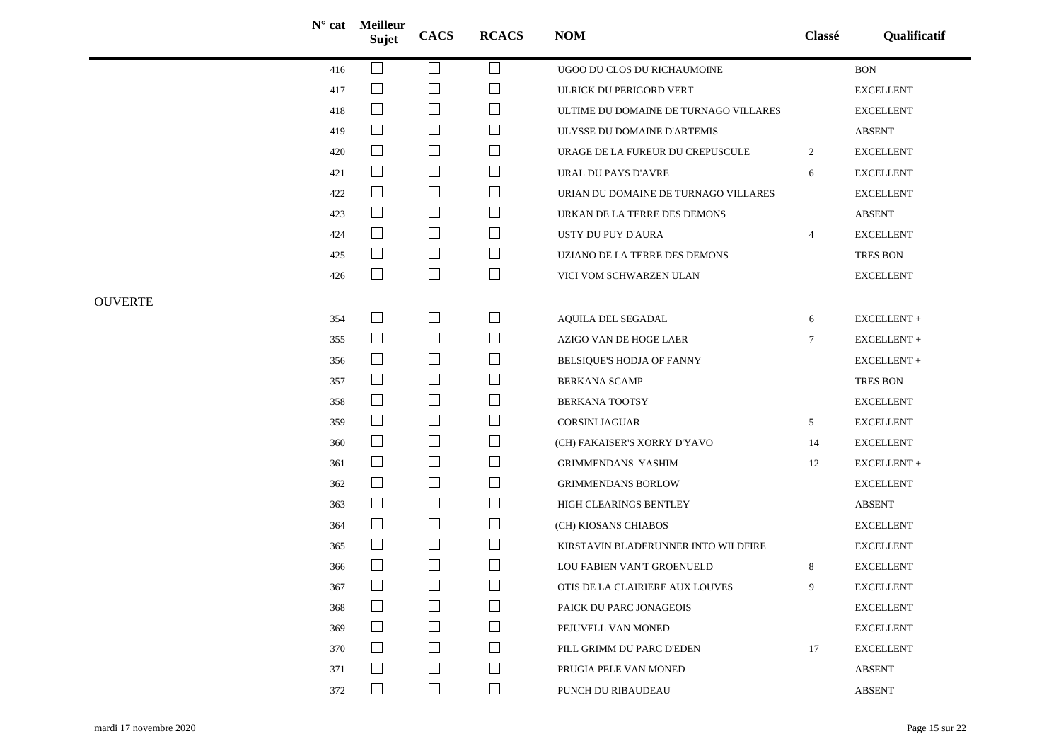|                |     | $N^{\circ}$ cat Meilleur<br>Sujet | <b>CACS</b>                 | <b>RCACS</b> | NOM                                   | Classé          | Qualificatif      |
|----------------|-----|-----------------------------------|-----------------------------|--------------|---------------------------------------|-----------------|-------------------|
|                | 416 | $\Box$                            | □                           | $\Box$       | UGOO DU CLOS DU RICHAUMOINE           |                 | $\rm BON$         |
|                | 417 | $\Box$                            |                             | $\sqcup$     | ULRICK DU PERIGORD VERT               |                 | <b>EXCELLENT</b>  |
|                | 418 | $\Box$                            | $\Box$                      | $\Box$       | ULTIME DU DOMAINE DE TURNAGO VILLARES |                 | <b>EXCELLENT</b>  |
|                | 419 | $\mathcal{L}_{\mathcal{A}}$       | $\mathcal{L}_{\mathcal{A}}$ | $\Box$       | ULYSSE DU DOMAINE D'ARTEMIS           |                 | <b>ABSENT</b>     |
|                | 420 | $\Box$                            | $\Box$                      | ⊔            | URAGE DE LA FUREUR DU CREPUSCULE      | $\overline{2}$  | ${\sf EXCELLENT}$ |
|                | 421 | $\Box$                            | $\Box$                      | $\Box$       | URAL DU PAYS D'AVRE                   | 6               | <b>EXCELLENT</b>  |
|                | 422 | $\Box$                            | $\Box$                      | $\Box$       | URIAN DU DOMAINE DE TURNAGO VILLARES  |                 | <b>EXCELLENT</b>  |
|                | 423 | $\Box$                            | $\Box$                      | $\Box$       | URKAN DE LA TERRE DES DEMONS          |                 | <b>ABSENT</b>     |
|                | 424 | $\Box$                            | $\mathcal{L}_{\mathcal{A}}$ | $\Box$       | USTY DU PUY D'AURA                    | 4               | <b>EXCELLENT</b>  |
|                | 425 | $\vert \ \ \vert$                 | $\Box$                      | $\Box$       | UZIANO DE LA TERRE DES DEMONS         |                 | TRES BON          |
|                | 426 | $\mathbb{R}^n$                    | $\Box$                      | $\Box$       | VICI VOM SCHWARZEN ULAN               |                 | <b>EXCELLENT</b>  |
| <b>OUVERTE</b> |     |                                   |                             |              |                                       |                 |                   |
|                | 354 | $\Box$                            | $\Box$                      | $\Box$       | AQUILA DEL SEGADAL                    | 6               | EXCELLENT+        |
|                | 355 | $\Box$                            | $\Box$                      | $\Box$       | AZIGO VAN DE HOGE LAER                | $7\phantom{.0}$ | $EXCELLENT +$     |
|                | 356 | $\Box$                            | $\Box$                      | $\Box$       | BELSIQUE'S HODJA OF FANNY             |                 | $EXCELLENT +$     |
|                | 357 | $\overline{\phantom{a}}$          | $\mathcal{L}_{\mathcal{A}}$ | $\Box$       | <b>BERKANA SCAMP</b>                  |                 | TRES BON          |
|                | 358 | $\Box$                            | $\Box$                      | $\Box$       | <b>BERKANA TOOTSY</b>                 |                 | <b>EXCELLENT</b>  |
|                | 359 | $\Box$                            | $\mathcal{L}_{\mathcal{A}}$ | $\Box$       | <b>CORSINI JAGUAR</b>                 | 5               | <b>EXCELLENT</b>  |
|                | 360 | $\Box$                            | $\Box$                      | $\Box$       | (CH) FAKAISER'S XORRY D'YAVO          | 14              | <b>EXCELLENT</b>  |
|                | 361 | $\Box$                            | $\Box$                      | $\Box$       | <b>GRIMMENDANS YASHIM</b>             | 12              | EXCELLENT +       |
|                | 362 | $\Box$                            | $\mathbb{R}^n$              | $\Box$       | <b>GRIMMENDANS BORLOW</b>             |                 | <b>EXCELLENT</b>  |
|                | 363 | $\Box$                            | $\Box$                      | $\Box$       | HIGH CLEARINGS BENTLEY                |                 | <b>ABSENT</b>     |
|                | 364 |                                   | $\overline{\phantom{a}}$    | $\Box$       | (CH) KIOSANS CHIABOS                  |                 | <b>EXCELLENT</b>  |
|                | 365 | $\Box$                            | ⊔                           | $\Box$       | KIRSTAVIN BLADERUNNER INTO WILDFIRE   |                 | <b>EXCELLENT</b>  |
|                | 366 |                                   | $\mathcal{L}_{\mathcal{A}}$ | $\Box$       | LOU FABIEN VAN'T GROENUELD            | 8               | <b>EXCELLENT</b>  |
|                | 367 | $\Box$                            | $\Box$                      | $\Box$       | OTIS DE LA CLAIRIERE AUX LOUVES       | 9               | <b>EXCELLENT</b>  |
|                | 368 |                                   |                             | $\mathsf{L}$ | PAICK DU PARC JONAGEOIS               |                 | <b>EXCELLENT</b>  |
|                | 369 | $\Box$                            | $\sim$                      | ⊔            | PEJUVELL VAN MONED                    |                 | <b>EXCELLENT</b>  |
|                | 370 |                                   |                             | $\Box$       | PILL GRIMM DU PARC D'EDEN             | 17              | <b>EXCELLENT</b>  |
|                | 371 |                                   | $\sim$                      | $\Box$       | PRUGIA PELE VAN MONED                 |                 | <b>ABSENT</b>     |
|                | 372 |                                   | $\mathbb{R}^2$              | $\Box$       | PUNCH DU RIBAUDEAU                    |                 | <b>ABSENT</b>     |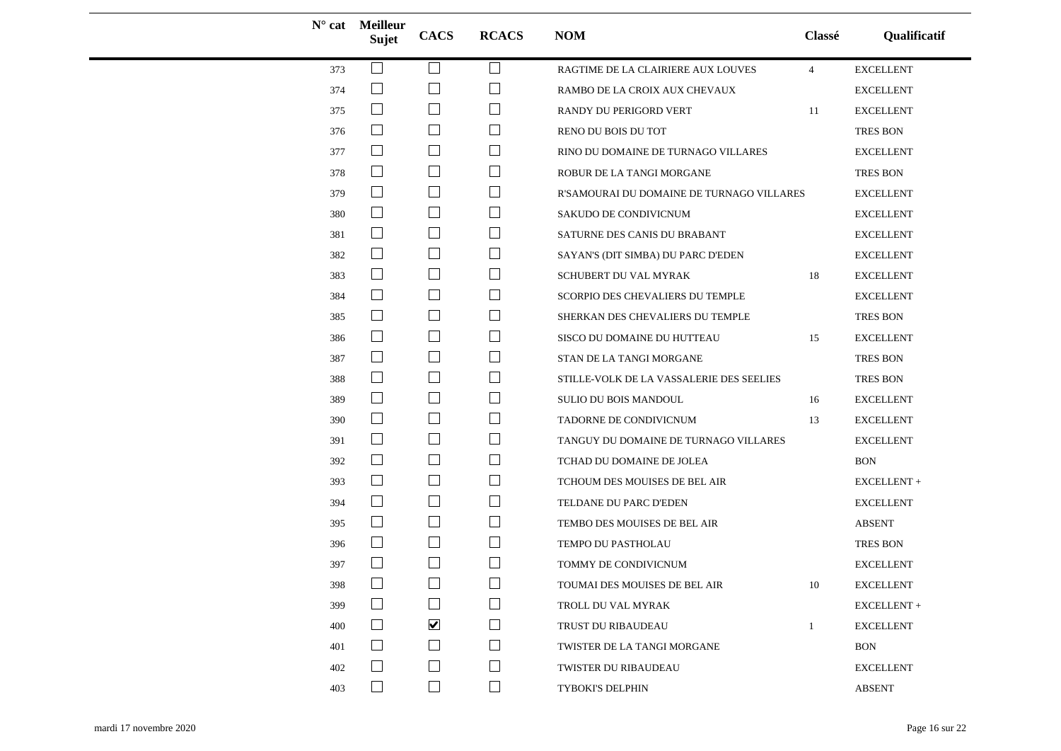|     | $N^{\circ}$ cat Meilleur<br><b>Sujet</b> | <b>CACS</b>                 | <b>RCACS</b>   | <b>NOM</b>                                | Classé         | Qualificatif     |
|-----|------------------------------------------|-----------------------------|----------------|-------------------------------------------|----------------|------------------|
| 373 |                                          | $\overline{\phantom{a}}$    | $\Box$         | RAGTIME DE LA CLAIRIERE AUX LOUVES        | $\overline{4}$ | <b>EXCELLENT</b> |
| 374 | ⊔                                        | $\mathbf{I}$                | $\blacksquare$ | RAMBO DE LA CROIX AUX CHEVAUX             |                | <b>EXCELLENT</b> |
| 375 | $\Box$                                   | $\mathbb{R}^n$              | $\mathcal{L}$  | RANDY DU PERIGORD VERT                    | 11             | <b>EXCELLENT</b> |
| 376 | $\Box$                                   | $\mathbf{L}$                | $\mathcal{L}$  | RENO DU BOIS DU TOT                       |                | <b>TRES BON</b>  |
| 377 | $\Box$                                   | $\Box$                      | ⊔              | RINO DU DOMAINE DE TURNAGO VILLARES       |                | <b>EXCELLENT</b> |
| 378 | $\Box$                                   | $\Box$                      | $\Box$         | ROBUR DE LA TANGI MORGANE                 |                | TRES BON         |
| 379 | $\Box$                                   | $\Box$                      | $\Box$         | R'SAMOURAI DU DOMAINE DE TURNAGO VILLARES |                | <b>EXCELLENT</b> |
| 380 | $\mathbb{R}^n$                           | $\mathbb{R}^n$              | $\Box$         | SAKUDO DE CONDIVICNUM                     |                | <b>EXCELLENT</b> |
| 381 | $\Box$                                   | $\Box$                      | ⊔              | SATURNE DES CANIS DU BRABANT              |                | <b>EXCELLENT</b> |
| 382 | $\Box$                                   | $\Box$                      | $\Box$         | SAYAN'S (DIT SIMBA) DU PARC D'EDEN        |                | <b>EXCELLENT</b> |
| 383 | $\Box$                                   | $\Box$                      | ⊔              | SCHUBERT DU VAL MYRAK                     | 18             | <b>EXCELLENT</b> |
| 384 | $\Box$                                   | $\Box$                      | $\Box$         | SCORPIO DES CHEVALIERS DU TEMPLE          |                | <b>EXCELLENT</b> |
| 385 | $\Box$                                   | $\Box$                      | ⊔              | SHERKAN DES CHEVALIERS DU TEMPLE          |                | <b>TRES BON</b>  |
| 386 | $\Box$                                   | $\mathbb{R}^n$              | $\Box$         | SISCO DU DOMAINE DU HUTTEAU               | 15             | <b>EXCELLENT</b> |
| 387 | $\Box$                                   | $\Box$                      | $\Box$         | STAN DE LA TANGI MORGANE                  |                | <b>TRES BON</b>  |
| 388 | $\Box$                                   | $\Box$                      | ⊔              | STILLE-VOLK DE LA VASSALERIE DES SEELIES  |                | TRES BON         |
| 389 | $\Box$                                   | $\mathbb{R}^n$              | $\sqcup$       | SULIO DU BOIS MANDOUL                     | 16             | <b>EXCELLENT</b> |
| 390 | $\Box$                                   | $\mathbf{L}$                | $\Box$         | TADORNE DE CONDIVICNUM                    | 13             | <b>EXCELLENT</b> |
| 391 | $\overline{\phantom{a}}$                 | $\Box$                      | $\Box$         | TANGUY DU DOMAINE DE TURNAGO VILLARES     |                | <b>EXCELLENT</b> |
| 392 | ⊔                                        | $\Box$                      | ⊔              | TCHAD DU DOMAINE DE JOLEA                 |                | <b>BON</b>       |
| 393 | $\Box$                                   | $\mathbb{R}^n$              | $\Box$         | TCHOUM DES MOUISES DE BEL AIR             |                | EXCELLENT +      |
| 394 | $\Box$                                   | $\Box$                      | ⊔              | TELDANE DU PARC D'EDEN                    |                | <b>EXCELLENT</b> |
| 395 | $\Box$                                   | $\Box$                      | ⊔              | TEMBO DES MOUISES DE BEL AIR              |                | <b>ABSENT</b>    |
| 396 |                                          | $\Box$                      | ⊔              | TEMPO DU PASTHOLAU                        |                | TRES BON         |
| 397 |                                          |                             |                | TOMMY DE CONDIVICNUM                      |                | <b>EXCELLENT</b> |
| 398 | $\Box$                                   | $\Box$                      | $\Box$         | TOUMAI DES MOUISES DE BEL AIR             | 10             | <b>EXCELLENT</b> |
| 399 | $\vert \ \ \vert$                        | $\sim$                      | $\Box$         | TROLL DU VAL MYRAK                        |                | EXCELLENT+       |
| 400 | ⊔                                        | $\blacktriangledown$        | $\Box$         | TRUST DU RIBAUDEAU                        | $\mathbf{1}$   | <b>EXCELLENT</b> |
| 401 | $\vert \ \ \vert$                        | $\mathbf{I}$                | $\Box$         | TWISTER DE LA TANGI MORGANE               |                | <b>BON</b>       |
| 402 |                                          | $\mathcal{L}_{\mathcal{A}}$ | $\Box$         | TWISTER DU RIBAUDEAU                      |                | <b>EXCELLENT</b> |
| 403 | $\Box$                                   | $\Box$                      | ⊔              | TYBOKI'S DELPHIN                          |                | <b>ABSENT</b>    |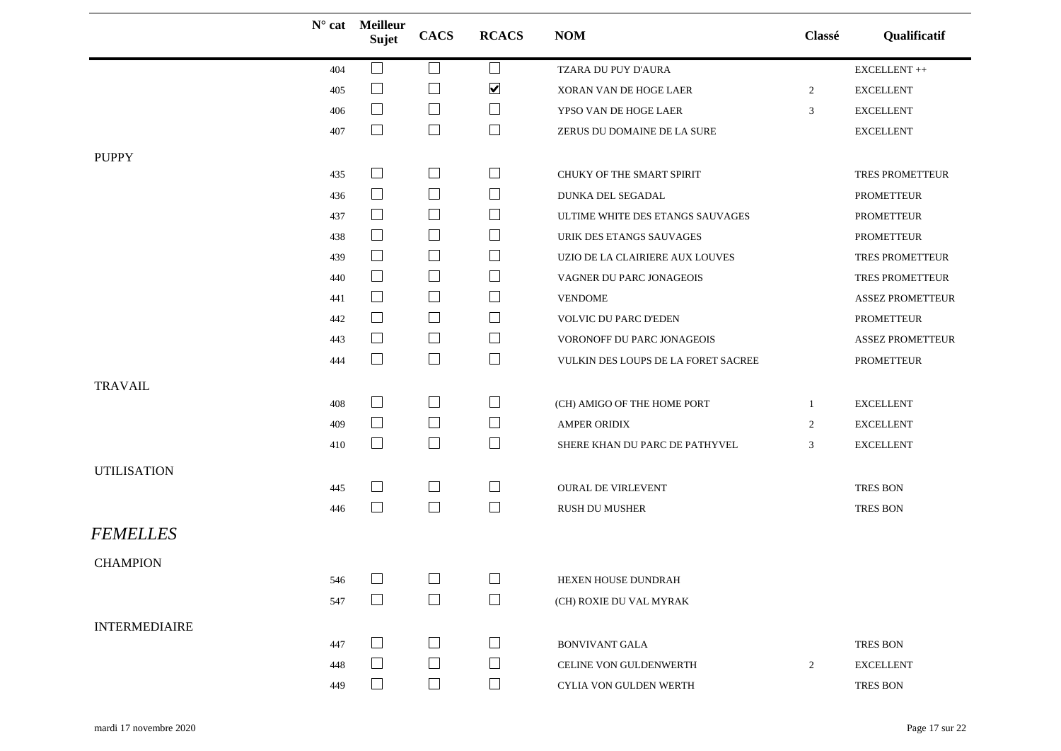|                      |     | N° cat Meilleur<br>Sujet | <b>CACS</b>       | <b>RCACS</b>                | <b>NOM</b>                          | Classé         | Qualificatif            |
|----------------------|-----|--------------------------|-------------------|-----------------------------|-------------------------------------|----------------|-------------------------|
|                      | 404 |                          | $\Box$            | $\Box$                      | TZARA DU PUY D'AURA                 |                | ${\rm EXCELLENT}$ ++    |
|                      | 405 | $\Box$                   | $\Box$            | $\blacktriangledown$        | XORAN VAN DE HOGE LAER              | $\overline{2}$ | <b>EXCELLENT</b>        |
|                      | 406 | $\Box$                   | $\Box$            | ⊔                           | YPSO VAN DE HOGE LAER               | 3              | <b>EXCELLENT</b>        |
|                      | 407 | $\Box$                   | $\Box$            | $\Box$                      | ZERUS DU DOMAINE DE LA SURE         |                | <b>EXCELLENT</b>        |
| <b>PUPPY</b>         |     |                          |                   |                             |                                     |                |                         |
|                      | 435 | $\Box$                   | $\Box$            | $\mathcal{L}_{\mathcal{A}}$ | CHUKY OF THE SMART SPIRIT           |                | TRES PROMETTEUR         |
|                      | 436 | $\Box$                   | $\Box$            | ⊔                           | DUNKA DEL SEGADAL                   |                | <b>PROMETTEUR</b>       |
|                      | 437 | $\Box$                   | $\Box$            | $\Box$                      | ULTIME WHITE DES ETANGS SAUVAGES    |                | <b>PROMETTEUR</b>       |
|                      | 438 | $\Box$                   | $\Box$            | ⊔                           | URIK DES ETANGS SAUVAGES            |                | <b>PROMETTEUR</b>       |
|                      | 439 | $\Box$                   | $\Box$            | $\sqcup$                    | UZIO DE LA CLAIRIERE AUX LOUVES     |                | TRES PROMETTEUR         |
|                      | 440 | $\Box$                   | $\Box$            | $\overline{\phantom{a}}$    | VAGNER DU PARC JONAGEOIS            |                | TRES PROMETTEUR         |
|                      | 441 | $\Box$                   | $\Box$            | ⊔                           | <b>VENDOME</b>                      |                | <b>ASSEZ PROMETTEUR</b> |
|                      | 442 | $\Box$                   | $\Box$            | $\Box$                      | VOLVIC DU PARC D'EDEN               |                | PROMETTEUR              |
|                      | 443 | $\Box$                   | $\Box$            | $\sqcup$                    | VORONOFF DU PARC JONAGEOIS          |                | <b>ASSEZ PROMETTEUR</b> |
|                      | 444 | $\Box$                   | $\Box$            | $\Box$                      | VULKIN DES LOUPS DE LA FORET SACREE |                | PROMETTEUR              |
| <b>TRAVAIL</b>       |     |                          |                   |                             |                                     |                |                         |
|                      | 408 | $\Box$                   | $\Box$            | ⊔                           | (CH) AMIGO OF THE HOME PORT         | -1             | <b>EXCELLENT</b>        |
|                      | 409 | $\Box$                   | $\Box$            | $\sqcup$                    | <b>AMPER ORIDIX</b>                 | $\overline{2}$ | <b>EXCELLENT</b>        |
|                      | 410 | $\Box$                   | $\Box$            | $\Box$                      | SHERE KHAN DU PARC DE PATHYVEL      | 3              | <b>EXCELLENT</b>        |
| <b>UTILISATION</b>   |     |                          |                   |                             |                                     |                |                         |
|                      | 445 | ⊔                        | $\Box$            | $\Box$                      | <b>OURAL DE VIRLEVENT</b>           |                | <b>TRES BON</b>         |
|                      | 446 | $\Box$                   | $\Box$            | $\Box$                      | <b>RUSH DU MUSHER</b>               |                | <b>TRES BON</b>         |
| <b>FEMELLES</b>      |     |                          |                   |                             |                                     |                |                         |
| <b>CHAMPION</b>      |     |                          |                   |                             |                                     |                |                         |
|                      | 546 | $\Box$                   | $\Box$            | $\Box$                      | HEXEN HOUSE DUNDRAH                 |                |                         |
|                      | 547 | $\Box$                   | $\Box$            | $\Box$                      | (CH) ROXIE DU VAL MYRAK             |                |                         |
| <b>INTERMEDIAIRE</b> |     |                          |                   |                             |                                     |                |                         |
|                      | 447 | $\Box$                   | $\vert \ \ \vert$ |                             | <b>BONVIVANT GALA</b>               |                | <b>TRES BON</b>         |
|                      | 448 | $\mathbf{L}$             | $\Box$            | ⊔                           | CELINE VON GULDENWERTH              | $\overline{2}$ | <b>EXCELLENT</b>        |
|                      | 449 | $\Box$                   | $\Box$            |                             | CYLIA VON GULDEN WERTH              |                | <b>TRES BON</b>         |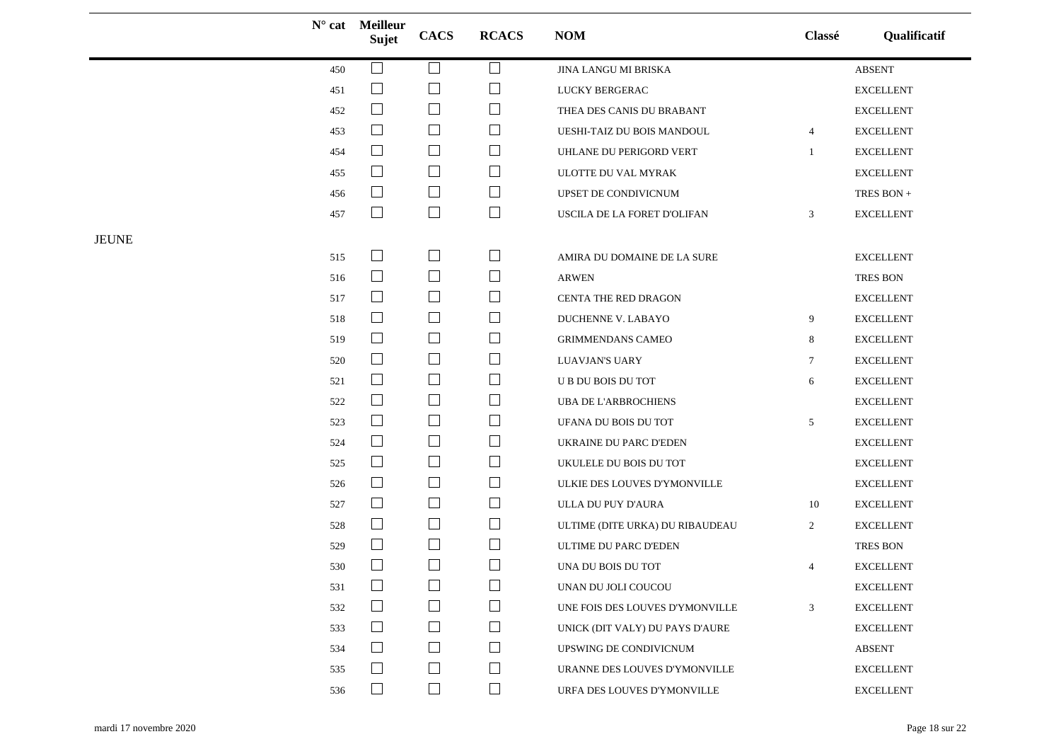|              |     | N° cat Meilleur<br>Sujet    | <b>CACS</b>              | <b>RCACS</b>                | <b>NOM</b>                      | Classé         | Qualificatif      |
|--------------|-----|-----------------------------|--------------------------|-----------------------------|---------------------------------|----------------|-------------------|
|              | 450 | $\mathcal{L}$               | ⊔                        | ⊔                           | JINA LANGU MI BRISKA            |                | <b>ABSENT</b>     |
|              | 451 | $\mathcal{L}_{\mathcal{A}}$ | $\Box$                   | $\mathcal{L}_{\mathcal{A}}$ | <b>LUCKY BERGERAC</b>           |                | <b>EXCELLENT</b>  |
|              | 452 | $\Box$                      | $\overline{\phantom{a}}$ | $\sqcup$                    | THEA DES CANIS DU BRABANT       |                | <b>EXCELLENT</b>  |
|              | 453 | $\Box$                      | $\Box$                   | $\Box$                      | UESHI-TAIZ DU BOIS MANDOUL      | $\overline{4}$ | ${\sf EXCELLENT}$ |
|              | 454 | $\Box$                      | $\Box$                   | $\Box$                      | UHLANE DU PERIGORD VERT         | $\mathbf{1}$   | <b>EXCELLENT</b>  |
|              | 455 | $\Box$                      | $\Box$                   | ⊔                           | ULOTTE DU VAL MYRAK             |                | <b>EXCELLENT</b>  |
|              | 456 | $\sqcup$                    | $\Box$                   | $\Box$                      | UPSET DE CONDIVICNUM            |                | TRES BON $\pm$    |
|              | 457 | $\mathsf{L}$                | $\Box$                   | $\Box$                      | USCILA DE LA FORET D'OLIFAN     | 3              | <b>EXCELLENT</b>  |
| <b>JEUNE</b> |     |                             |                          |                             |                                 |                |                   |
|              | 515 | $\Box$                      | $\Box$                   | ⊔                           | AMIRA DU DOMAINE DE LA SURE     |                | <b>EXCELLENT</b>  |
|              | 516 | $\Box$                      | $\Box$                   | $\overline{\phantom{a}}$    | <b>ARWEN</b>                    |                | TRES BON          |
|              | 517 | $\Box$                      | $\Box$                   | $\Box$                      | CENTA THE RED DRAGON            |                | <b>EXCELLENT</b>  |
|              | 518 | ⊔                           | $\Box$                   | ⊔                           | DUCHENNE V. LABAYO              | 9              | <b>EXCELLENT</b>  |
|              | 519 | $\Box$                      | $\Box$                   | $\Box$                      | <b>GRIMMENDANS CAMEO</b>        | 8              | <b>EXCELLENT</b>  |
|              | 520 | $\Box$                      | $\overline{\phantom{a}}$ | $\Box$                      | LUAVJAN'S UARY                  | 7              | <b>EXCELLENT</b>  |
|              | 521 | $\Box$                      | $\Box$                   | ⊔                           | U B DU BOIS DU TOT              | 6              | <b>EXCELLENT</b>  |
|              | 522 | $\Box$                      | $\overline{\phantom{a}}$ | $\Box$                      | <b>UBA DE L'ARBROCHIENS</b>     |                | ${\sf EXCELLENT}$ |
|              | 523 | ⊔                           | $\Box$                   | $\Box$                      | UFANA DU BOIS DU TOT            | 5              | <b>EXCELLENT</b>  |
|              | 524 | $\Box$                      | $\Box$                   | $\overline{\phantom{a}}$    | UKRAINE DU PARC D'EDEN          |                | <b>EXCELLENT</b>  |
|              | 525 | $\Box$                      | $\overline{\phantom{a}}$ | $\Box$                      | UKULELE DU BOIS DU TOT          |                | <b>EXCELLENT</b>  |
|              | 526 | $\sqcup$                    | $\Box$                   | ⊔                           | ULKIE DES LOUVES D'YMONVILLE    |                | <b>EXCELLENT</b>  |
|              | 527 | ⊔                           | $\Box$                   | ⊔                           | ULLA DU PUY D'AURA              | 10             | <b>EXCELLENT</b>  |
|              | 528 | $\Box$                      | $\Box$                   | $\Box$                      | ULTIME (DITE URKA) DU RIBAUDEAU | $\overline{2}$ | <b>EXCELLENT</b>  |
|              | 529 |                             | $\Box$                   | $\Box$                      | ULTIME DU PARC D'EDEN           |                | TRES BON          |
|              | 530 | $\Box$                      | $\Box$                   | ⊔                           | UNA DU BOIS DU TOT              | 4              | <b>EXCELLENT</b>  |
|              | 531 | $\Box$                      | $\Box$                   | $\Box$                      | UNAN DU JOLI COUCOU             |                | <b>EXCELLENT</b>  |
|              | 532 | $\perp$                     | $\Box$                   | ப                           | UNE FOIS DES LOUVES D'YMONVILLE | 3              | <b>EXCELLENT</b>  |
|              | 533 | $\overline{\phantom{a}}$    | $\Box$                   | $\sqcup$                    | UNICK (DIT VALY) DU PAYS D'AURE |                | <b>EXCELLENT</b>  |
|              | 534 | $\perp$                     | $\Box$                   | $\Box$                      | UPSWING DE CONDIVICNUM          |                | ABSENT            |
|              | 535 |                             | $\Box$                   | $\Box$                      | URANNE DES LOUVES D'YMONVILLE   |                | <b>EXCELLENT</b>  |
|              | 536 | $\Box$                      | $\Box$                   | $\Box$                      | URFA DES LOUVES D'YMONVILLE     |                | <b>EXCELLENT</b>  |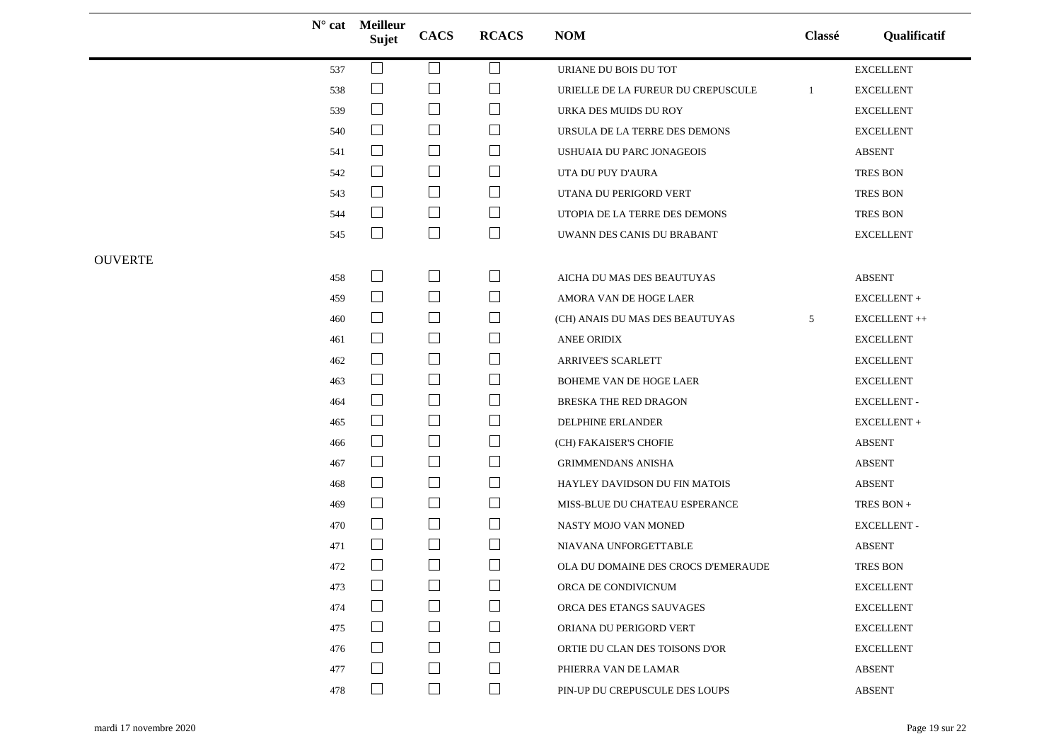|                |     | $N^{\circ}$ cat Meilleur<br>Sujet | <b>CACS</b>                 | <b>RCACS</b>             | <b>NOM</b>                          | Classé | Qualificatif       |
|----------------|-----|-----------------------------------|-----------------------------|--------------------------|-------------------------------------|--------|--------------------|
|                | 537 | $\Box$                            | $\Box$                      | ⊔                        | URIANE DU BOIS DU TOT               |        | <b>EXCELLENT</b>   |
|                | 538 | $\Box$                            | $\mathcal{L}_{\mathcal{A}}$ | $\Box$                   | URIELLE DE LA FUREUR DU CREPUSCULE  | -1     | <b>EXCELLENT</b>   |
|                | 539 | $\Box$                            | $\Box$                      | $\sqcup$                 | URKA DES MUIDS DU ROY               |        | <b>EXCELLENT</b>   |
|                | 540 | $\Box$                            | $\overline{\phantom{a}}$    | $\sqcup$                 | URSULA DE LA TERRE DES DEMONS       |        | <b>EXCELLENT</b>   |
|                | 541 | $\Box$                            | $\Box$                      | ⊔                        | USHUAIA DU PARC JONAGEOIS           |        | <b>ABSENT</b>      |
|                | 542 | $\Box$                            | $\Box$                      | ⊔                        | UTA DU PUY D'AURA                   |        | TRES BON           |
|                | 543 | $\Box$                            | $\Box$                      | $\Box$                   | UTANA DU PERIGORD VERT              |        | TRES BON           |
|                | 544 | $\Box$                            | $\Box$                      | $\Box$                   | UTOPIA DE LA TERRE DES DEMONS       |        | TRES BON           |
|                | 545 | $\Box$                            | $\Box$                      | $\Box$                   | UWANN DES CANIS DU BRABANT          |        | <b>EXCELLENT</b>   |
| <b>OUVERTE</b> |     |                                   |                             |                          |                                     |        |                    |
|                | 458 | $\overline{\phantom{a}}$          | $\Box$                      | $\Box$                   | AICHA DU MAS DES BEAUTUYAS          |        | <b>ABSENT</b>      |
|                | 459 | $\Box$                            | $\Box$                      | $\Box$                   | AMORA VAN DE HOGE LAER              |        | $EXCELLENT +$      |
|                | 460 | $\Box$                            | $\Box$                      | $\sqcup$                 | (CH) ANAIS DU MAS DES BEAUTUYAS     | 5      | EXCELLENT ++       |
|                | 461 | $\Box$                            | $\mathcal{L}_{\mathcal{A}}$ | $\Box$                   | ANEE ORIDIX                         |        | <b>EXCELLENT</b>   |
|                | 462 | $\Box$                            | $\Box$                      | $\Box$                   | ARRIVEE'S SCARLETT                  |        | <b>EXCELLENT</b>   |
|                | 463 | $\Box$                            | $\Box$                      | $\sqcup$                 | BOHEME VAN DE HOGE LAER             |        | <b>EXCELLENT</b>   |
|                | 464 | $\Box$                            | $\Box$                      | $\Box$                   | BRESKA THE RED DRAGON               |        | <b>EXCELLENT -</b> |
|                | 465 | $\Box$                            | $\Box$                      | ⊔                        | DELPHINE ERLANDER                   |        | EXCELLENT +        |
|                | 466 | $\Box$                            | $\Box$                      | $\Box$                   | (CH) FAKAISER'S CHOFIE              |        | <b>ABSENT</b>      |
|                | 467 | $\Box$                            | $\Box$                      | $\Box$                   | <b>GRIMMENDANS ANISHA</b>           |        | <b>ABSENT</b>      |
|                | 468 | $\Box$                            | $\Box$                      | $\sqcup$                 | HAYLEY DAVIDSON DU FIN MATOIS       |        | <b>ABSENT</b>      |
|                | 469 | $\Box$                            | $\Box$                      | $\sqcup$                 | MISS-BLUE DU CHATEAU ESPERANCE      |        | TRES BON +         |
|                | 470 | $\Box$                            | $\Box$                      | $\Box$                   | NASTY MOJO VAN MONED                |        | EXCELLENT -        |
|                | 471 | $\Box$                            | $\Box$                      | $\overline{\phantom{a}}$ | NIAVANA UNFORGETTABLE               |        | <b>ABSENT</b>      |
|                | 472 | $\Box$                            | $\Box$                      | ⊔                        | OLA DU DOMAINE DES CROCS D'EMERAUDE |        | <b>TRES BON</b>    |
|                | 473 | $\Box$                            | $\Box$                      | $\Box$                   | ORCA DE CONDIVICNUM                 |        | <b>EXCELLENT</b>   |
|                | 474 | $\Box$                            | $\vert \ \ \vert$           | $\overline{\phantom{a}}$ | ORCA DES ETANGS SAUVAGES            |        | <b>EXCELLENT</b>   |
|                | 475 | $\Box$                            |                             | ⊔                        | ORIANA DU PERIGORD VERT             |        | <b>EXCELLENT</b>   |
|                | 476 | $\Box$                            | $\Box$                      | $\Box$                   | ORTIE DU CLAN DES TOISONS D'OR      |        | <b>EXCELLENT</b>   |
|                | 477 |                                   | $\Box$                      | ⊔                        | PHIERRA VAN DE LAMAR                |        | <b>ABSENT</b>      |
|                | 478 | $\Box$                            | $\Box$                      | $\Box$                   | PIN-UP DU CREPUSCULE DES LOUPS      |        | <b>ABSENT</b>      |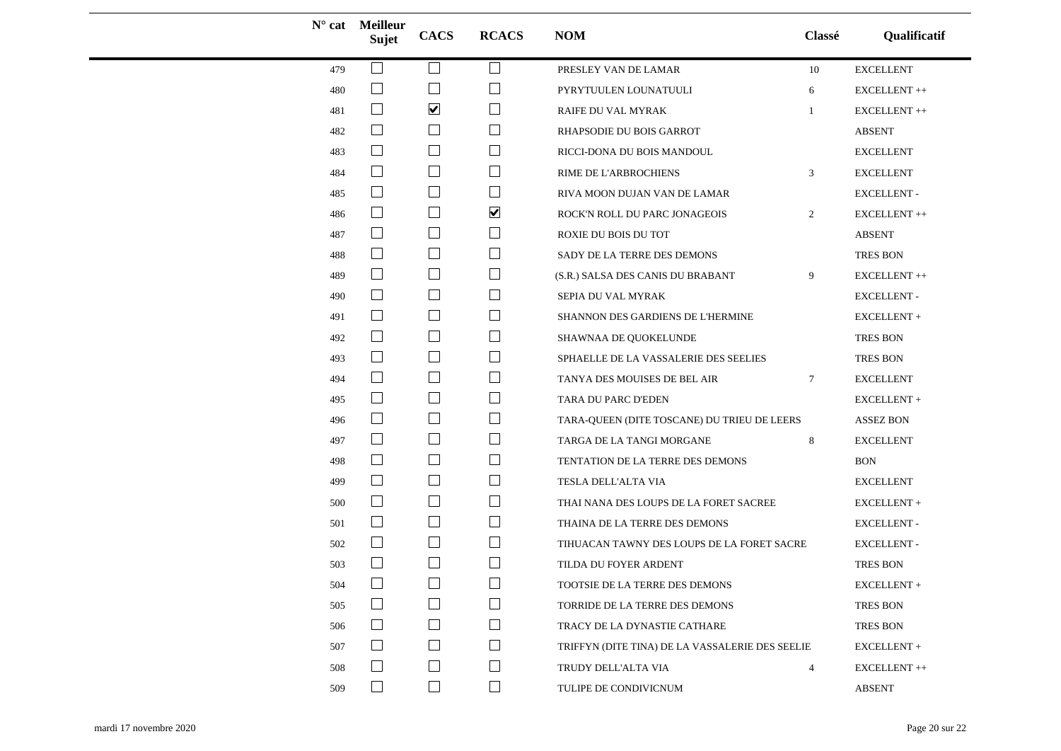|     | $N^{\circ}$ cat Meilleur<br>Sujet | <b>CACS</b>              | <b>RCACS</b>             | <b>NOM</b>                                      | Classé          | Qualificatif          |
|-----|-----------------------------------|--------------------------|--------------------------|-------------------------------------------------|-----------------|-----------------------|
| 479 | $\mathcal{L}$                     | ப                        | ⊔                        | PRESLEY VAN DE LAMAR                            | 10              | <b>EXCELLENT</b>      |
| 480 | $\mathcal{L}_{\mathcal{A}}$       |                          |                          | PYRYTUULEN LOUNATUULI                           | 6               | ${\sf EXCELLENT}\++$  |
| 481 | $\Box$                            | $\blacktriangledown$     | ⊔                        | RAIFE DU VAL MYRAK                              | -1              | EXCELLENT++           |
| 482 | $\Box$                            | $\Box$                   | $\Box$                   | RHAPSODIE DU BOIS GARROT                        |                 | <b>ABSENT</b>         |
| 483 | $\Box$                            | $\Box$                   | ⊔                        | RICCI-DONA DU BOIS MANDOUL                      |                 | <b>EXCELLENT</b>      |
| 484 | $\Box$                            |                          | ⊔                        | RIME DE L'ARBROCHIENS                           | 3               | <b>EXCELLENT</b>      |
| 485 | $\Box$                            | $\Box$                   | ⊔                        | RIVA MOON DUJAN VAN DE LAMAR                    |                 | <b>EXCELLENT -</b>    |
| 486 | $\Box$                            | $\Box$                   | $\blacktriangledown$     | ROCK'N ROLL DU PARC JONAGEOIS                   | $\overline{2}$  | ${\sf EXCELLENT}\,++$ |
| 487 | $\Box$                            | ⊔                        | ⊔                        | ROXIE DU BOIS DU TOT                            |                 | <b>ABSENT</b>         |
| 488 | $\mathcal{L}$                     | $\Box$                   | $\sqcup$                 | SADY DE LA TERRE DES DEMONS                     |                 | TRES BON              |
| 489 | $\Box$                            | $\Box$                   | ⊔                        | (S.R.) SALSA DES CANIS DU BRABANT               | 9               | EXCELLENT++           |
| 490 | $\Box$                            | $\Box$                   | $\sqcup$                 | SEPIA DU VAL MYRAK                              |                 | <b>EXCELLENT-</b>     |
| 491 | $\Box$                            | $\Box$                   | ⊔                        | SHANNON DES GARDIENS DE L'HERMINE               |                 | EXCELLENT +           |
| 492 | $\sqcup$                          | $\Box$                   | ⊔                        | SHAWNAA DE QUOKELUNDE                           |                 | TRES BON              |
| 493 | $\Box$                            | $\Box$                   | $\Box$                   | SPHAELLE DE LA VASSALERIE DES SEELIES           |                 | <b>TRES BON</b>       |
| 494 | $\Box$                            | $\Box$                   | ⊔                        | TANYA DES MOUISES DE BEL AIR                    | $7\phantom{.0}$ | <b>EXCELLENT</b>      |
| 495 | $\Box$                            |                          | $\sqcup$                 | TARA DU PARC D'EDEN                             |                 | EXCELLENT+            |
| 496 | $\Box$                            | $\Box$                   | ⊔                        | TARA-QUEEN (DITE TOSCANE) DU TRIEU DE LEERS     |                 | <b>ASSEZ BON</b>      |
| 497 | $\Box$                            | $\Box$                   | $\sqcup$                 | TARGA DE LA TANGI MORGANE                       | 8               | <b>EXCELLENT</b>      |
| 498 | $\Box$                            | ⊔                        | ⊔                        | TENTATION DE LA TERRE DES DEMONS                |                 | <b>BON</b>            |
| 499 | $\overline{\phantom{a}}$          | $\Box$                   | ⊔                        | TESLA DELL'ALTA VIA                             |                 | EXCELLENT             |
| 500 | $\Box$                            | $\overline{\phantom{a}}$ | $\Box$                   | THAI NANA DES LOUPS DE LA FORET SACREE          |                 | ${\sf EXCELLENT}$ +   |
| 501 | $\Box$                            | $\Box$                   | $\Box$                   | THAINA DE LA TERRE DES DEMONS                   |                 | <b>EXCELLENT -</b>    |
| 502 |                                   |                          | ⊔                        | TIHUACAN TAWNY DES LOUPS DE LA FORET SACRE      |                 | <b>EXCELLENT -</b>    |
| 503 | $\mathcal{L}$                     | $\Box$                   | $\Box$                   | TILDA DU FOYER ARDENT                           |                 | TRES BON              |
| 504 | $\Box$                            | $\Box$                   | $\Box$                   | TOOTSIE DE LA TERRE DES DEMONS                  |                 | EXCELLENT +           |
| 505 |                                   | $\vert \ \ \vert$        | $\overline{\phantom{a}}$ | TORRIDE DE LA TERRE DES DEMONS                  |                 | <b>TRES BON</b>       |
| 506 | $\mathcal{L}$                     |                          | $\Box$                   | TRACY DE LA DYNASTIE CATHARE                    |                 | TRES BON              |
| 507 | $\mathcal{L}$                     | $\vert \ \ \vert$        | $\mathsf{L}$             | TRIFFYN (DITE TINA) DE LA VASSALERIE DES SEELIE |                 | EXCELLENT +           |
| 508 |                                   |                          | $\Box$                   | TRUDY DELL'ALTA VIA                             | $\overline{4}$  | ${\sf EXCELLENT}\++$  |
| 509 | $\Box$                            | $\Box$                   | $\Box$                   | TULIPE DE CONDIVICNUM                           |                 | <b>ABSENT</b>         |
|     |                                   |                          |                          |                                                 |                 |                       |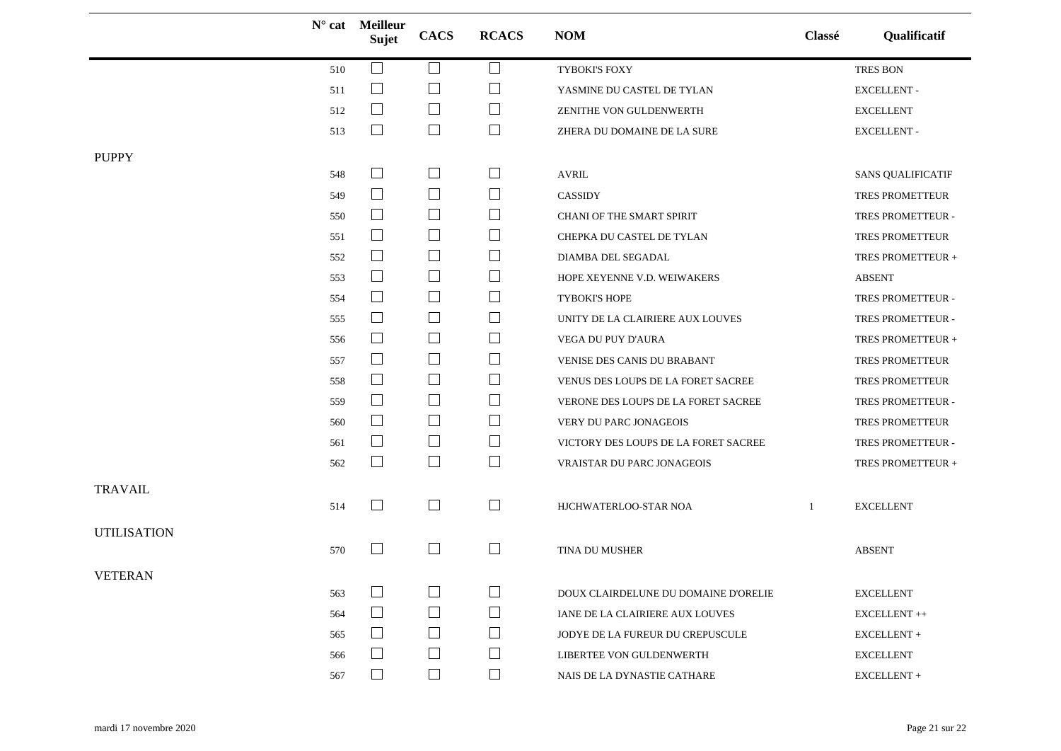|                    | $N^{\circ}$ cat | <b>Meilleur</b><br>Sujet | <b>CACS</b>                 | <b>RCACS</b>   | <b>NOM</b>                           | Classé | Qualificatif                        |
|--------------------|-----------------|--------------------------|-----------------------------|----------------|--------------------------------------|--------|-------------------------------------|
|                    | 510             |                          |                             |                | TYBOKI'S FOXY                        |        | <b>TRES BON</b>                     |
|                    | 511             | $\Box$                   | $\mathbb{R}^n$              | H              | YASMINE DU CASTEL DE TYLAN           |        | <b>EXCELLENT-</b>                   |
|                    | 512             | $\Box$                   | $\Box$                      | ப              | ZENITHE VON GULDENWERTH              |        | <b>EXCELLENT</b>                    |
|                    | 513             | $\Box$                   | $\Box$                      | $\Box$         | ZHERA DU DOMAINE DE LA SURE          |        | <b>EXCELLENT-</b>                   |
| <b>PUPPY</b>       |                 |                          |                             |                |                                      |        |                                     |
|                    | 548             | $\Box$                   | $\overline{\phantom{a}}$    | $\Box$         | <b>AVRIL</b>                         |        | <b>SANS QUALIFICATIF</b>            |
|                    | 549             | $\Box$                   | $\overline{\phantom{a}}$    | ⊔              | <b>CASSIDY</b>                       |        | TRES PROMETTEUR                     |
|                    | 550             | $\Box$                   | $\Box$                      |                | CHANI OF THE SMART SPIRIT            |        | TRES PROMETTEUR -                   |
|                    | 551             | $\Box$                   | $\Box$                      | $\mathsf{L}$   | CHEPKA DU CASTEL DE TYLAN            |        | TRES PROMETTEUR                     |
|                    | 552             | $\Box$                   | $\Box$                      | $\mathbb{R}^n$ | DIAMBA DEL SEGADAL                   |        | TRES PROMETTEUR +                   |
|                    | 553             | $\Box$                   | $\Box$                      | ப              | HOPE XEYENNE V.D. WEIWAKERS          |        | <b>ABSENT</b>                       |
|                    | 554             | $\Box$                   | $\overline{\phantom{a}}$    | $\Box$         | TYBOKI'S HOPE                        |        | TRES PROMETTEUR -                   |
|                    | 555             | $\Box$                   | $\Box$                      | $\mathbb{R}^n$ | UNITY DE LA CLAIRIERE AUX LOUVES     |        | TRES PROMETTEUR -                   |
|                    | 556             | $\Box$                   | $\Box$                      | $\sqcup$       | VEGA DU PUY D'AURA                   |        | TRES PROMETTEUR +                   |
|                    | 557             | $\Box$                   | $\Box$                      | ப              | VENISE DES CANIS DU BRABANT          |        | TRES PROMETTEUR                     |
|                    | 558             | $\Box$                   | $\mathsf{L}$                | $\mathbb{R}^n$ | VENUS DES LOUPS DE LA FORET SACREE   |        | TRES PROMETTEUR                     |
|                    | 559             | $\Box$                   | $\Box$                      | $\Box$         | VERONE DES LOUPS DE LA FORET SACREE  |        | TRES PROMETTEUR -                   |
|                    | 560             | $\Box$                   | $\overline{\phantom{a}}$    | ⊔              | VERY DU PARC JONAGEOIS               |        | TRES PROMETTEUR                     |
|                    | 561             | $\Box$                   | $\overline{\phantom{a}}$    | $\Box$         | VICTORY DES LOUPS DE LA FORET SACREE |        | TRES PROMETTEUR -                   |
|                    | 562             | $\Box$                   | $\Box$                      | $\Box$         | VRAISTAR DU PARC JONAGEOIS           |        | TRES PROMETTEUR +                   |
| <b>TRAVAIL</b>     | 514             | ⊔                        | $\Box$                      | $\Box$         | HJCHWATERLOO-STAR NOA                | 1      | <b>EXCELLENT</b>                    |
| <b>UTILISATION</b> | 570             | $\mathbf{L}$             | $\mathcal{L}^{\mathcal{A}}$ | $\mathbf{I}$   | TINA DU MUSHER                       |        | <b>ABSENT</b>                       |
| <b>VETERAN</b>     |                 |                          |                             |                |                                      |        |                                     |
|                    | 563             | $\Box$                   |                             |                | DOUX CLAIRDELUNE DU DOMAINE D'ORELIE |        | <b>EXCELLENT</b>                    |
|                    | 564             | $\Box$                   | $\vert \ \ \vert$           | $\mathbb{R}^n$ | IANE DE LA CLAIRIERE AUX LOUVES      |        | ${\rm EXCELLENT}$ $\leftrightarrow$ |
|                    | 565             | $\Box$                   | $\Box$                      | $\mathsf{L}$   | JODYE DE LA FUREUR DU CREPUSCULE     |        | EXCELLENT +                         |
|                    | 566             | $\Box$                   | $\Box$                      | $\Box$         | LIBERTEE VON GULDENWERTH             |        | <b>EXCELLENT</b>                    |
|                    | 567             | $\Box$                   | $\Box$                      | $\Box$         | NAIS DE LA DYNASTIE CATHARE          |        | EXCELLENT+                          |